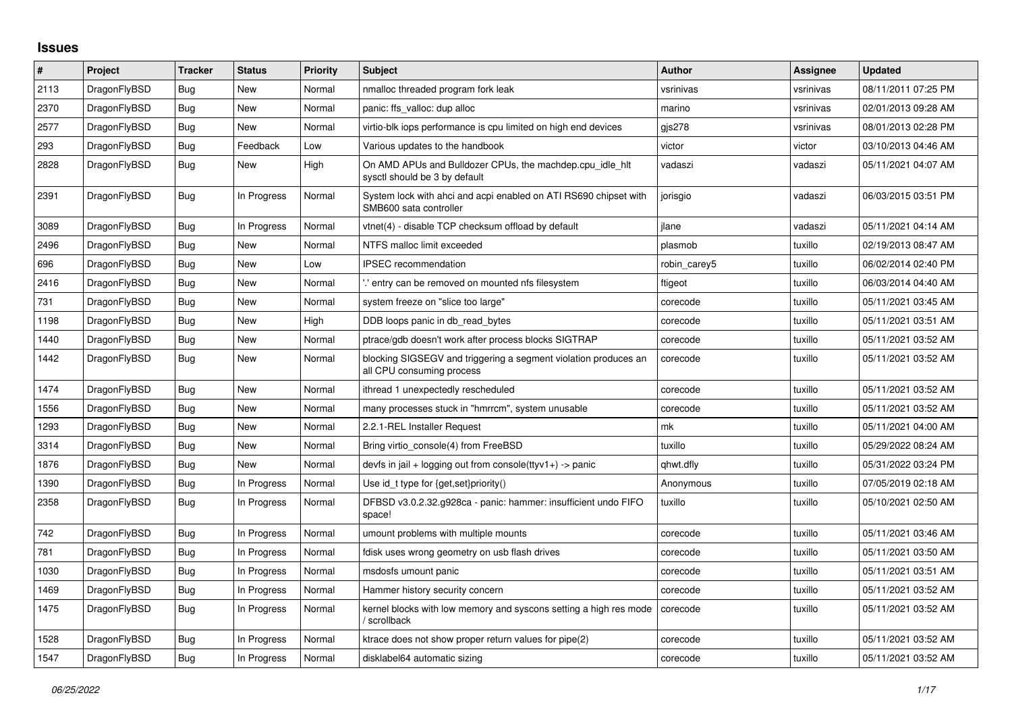## **Issues**

| #    | Project      | <b>Tracker</b> | <b>Status</b> | <b>Priority</b> | <b>Subject</b>                                                                               | <b>Author</b> | Assignee  | <b>Updated</b>      |
|------|--------------|----------------|---------------|-----------------|----------------------------------------------------------------------------------------------|---------------|-----------|---------------------|
| 2113 | DragonFlyBSD | <b>Bug</b>     | New           | Normal          | nmalloc threaded program fork leak                                                           | vsrinivas     | vsrinivas | 08/11/2011 07:25 PM |
| 2370 | DragonFlyBSD | <b>Bug</b>     | <b>New</b>    | Normal          | panic: ffs valloc: dup alloc                                                                 | marino        | vsrinivas | 02/01/2013 09:28 AM |
| 2577 | DragonFlyBSD | Bug            | New           | Normal          | virtio-blk iops performance is cpu limited on high end devices                               | gis278        | vsrinivas | 08/01/2013 02:28 PM |
| 293  | DragonFlyBSD | <b>Bug</b>     | Feedback      | Low             | Various updates to the handbook                                                              | victor        | victor    | 03/10/2013 04:46 AM |
| 2828 | DragonFlyBSD | <b>Bug</b>     | New           | High            | On AMD APUs and Bulldozer CPUs, the machdep.cpu idle hit<br>sysctl should be 3 by default    | vadaszi       | vadaszi   | 05/11/2021 04:07 AM |
| 2391 | DragonFlyBSD | Bug            | In Progress   | Normal          | System lock with ahci and acpi enabled on ATI RS690 chipset with<br>SMB600 sata controller   | jorisgio      | vadaszi   | 06/03/2015 03:51 PM |
| 3089 | DragonFlyBSD | <b>Bug</b>     | In Progress   | Normal          | vtnet(4) - disable TCP checksum offload by default                                           | jlane         | vadaszi   | 05/11/2021 04:14 AM |
| 2496 | DragonFlyBSD | <b>Bug</b>     | <b>New</b>    | Normal          | NTFS malloc limit exceeded                                                                   | plasmob       | tuxillo   | 02/19/2013 08:47 AM |
| 696  | DragonFlyBSD | Bug            | New           | Low             | <b>IPSEC</b> recommendation                                                                  | robin carey5  | tuxillo   | 06/02/2014 02:40 PM |
| 2416 | DragonFlyBSD | Bug            | New           | Normal          | .' entry can be removed on mounted nfs filesystem                                            | ftigeot       | tuxillo   | 06/03/2014 04:40 AM |
| 731  | DragonFlyBSD | Bug            | New           | Normal          | system freeze on "slice too large"                                                           | corecode      | tuxillo   | 05/11/2021 03:45 AM |
| 1198 | DragonFlyBSD | Bug            | New           | High            | DDB loops panic in db read bytes                                                             | corecode      | tuxillo   | 05/11/2021 03:51 AM |
| 1440 | DragonFlyBSD | Bug            | New           | Normal          | ptrace/gdb doesn't work after process blocks SIGTRAP                                         | corecode      | tuxillo   | 05/11/2021 03:52 AM |
| 1442 | DragonFlyBSD | <b>Bug</b>     | New           | Normal          | blocking SIGSEGV and triggering a segment violation produces an<br>all CPU consuming process | corecode      | tuxillo   | 05/11/2021 03:52 AM |
| 1474 | DragonFlyBSD | <b>Bug</b>     | New           | Normal          | ithread 1 unexpectedly rescheduled                                                           | corecode      | tuxillo   | 05/11/2021 03:52 AM |
| 1556 | DragonFlyBSD | Bug            | New           | Normal          | many processes stuck in "hmrrcm", system unusable                                            | corecode      | tuxillo   | 05/11/2021 03:52 AM |
| 1293 | DragonFlyBSD | Bug            | New           | Normal          | 2.2.1-REL Installer Request                                                                  | mk            | tuxillo   | 05/11/2021 04:00 AM |
| 3314 | DragonFlyBSD | <b>Bug</b>     | <b>New</b>    | Normal          | Bring virtio console(4) from FreeBSD                                                         | tuxillo       | tuxillo   | 05/29/2022 08:24 AM |
| 1876 | DragonFlyBSD | Bug            | New           | Normal          | devfs in jail + logging out from console(ttyv1+) -> panic                                    | qhwt.dfly     | tuxillo   | 05/31/2022 03:24 PM |
| 1390 | DragonFlyBSD | <b>Bug</b>     | In Progress   | Normal          | Use id_t type for {get, set}priority()                                                       | Anonymous     | tuxillo   | 07/05/2019 02:18 AM |
| 2358 | DragonFlyBSD | <b>Bug</b>     | In Progress   | Normal          | DFBSD v3.0.2.32.g928ca - panic: hammer: insufficient undo FIFO<br>space!                     | tuxillo       | tuxillo   | 05/10/2021 02:50 AM |
| 742  | DragonFlyBSD | <b>Bug</b>     | In Progress   | Normal          | umount problems with multiple mounts                                                         | corecode      | tuxillo   | 05/11/2021 03:46 AM |
| 781  | DragonFlyBSD | <b>Bug</b>     | In Progress   | Normal          | fdisk uses wrong geometry on usb flash drives                                                | corecode      | tuxillo   | 05/11/2021 03:50 AM |
| 1030 | DragonFlyBSD | Bug            | In Progress   | Normal          | msdosfs umount panic                                                                         | corecode      | tuxillo   | 05/11/2021 03:51 AM |
| 1469 | DragonFlyBSD | Bug            | In Progress   | Normal          | Hammer history security concern                                                              | corecode      | tuxillo   | 05/11/2021 03:52 AM |
| 1475 | DragonFlyBSD | Bug            | In Progress   | Normal          | kernel blocks with low memory and syscons setting a high res mode<br>/ scrollback            | corecode      | tuxillo   | 05/11/2021 03:52 AM |
| 1528 | DragonFlyBSD | Bug            | In Progress   | Normal          | ktrace does not show proper return values for pipe(2)                                        | corecode      | tuxillo   | 05/11/2021 03:52 AM |
| 1547 | DragonFlyBSD | <b>Bug</b>     | In Progress   | Normal          | disklabel64 automatic sizing                                                                 | corecode      | tuxillo   | 05/11/2021 03:52 AM |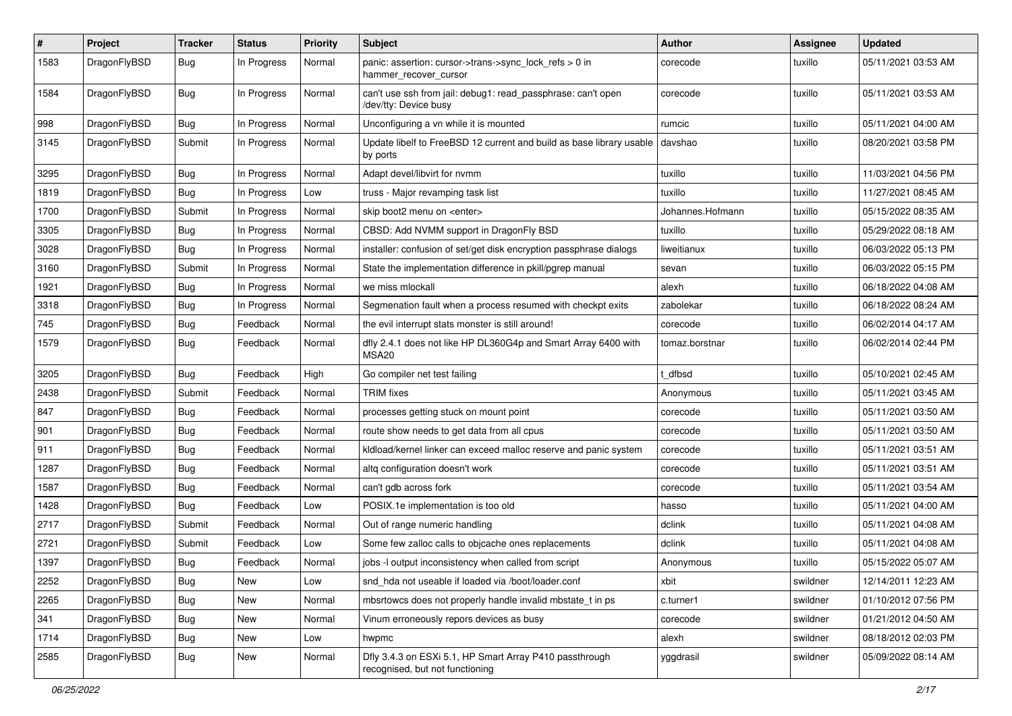| $\pmb{\#}$ | Project      | <b>Tracker</b> | <b>Status</b> | <b>Priority</b> | Subject                                                                                    | <b>Author</b>    | <b>Assignee</b> | <b>Updated</b>      |
|------------|--------------|----------------|---------------|-----------------|--------------------------------------------------------------------------------------------|------------------|-----------------|---------------------|
| 1583       | DragonFlyBSD | Bug            | In Progress   | Normal          | panic: assertion: cursor->trans->sync_lock_refs > 0 in<br>hammer recover cursor            | corecode         | tuxillo         | 05/11/2021 03:53 AM |
| 1584       | DragonFlyBSD | Bug            | In Progress   | Normal          | can't use ssh from jail: debug1: read passphrase: can't open<br>/dev/tty: Device busy      | corecode         | tuxillo         | 05/11/2021 03:53 AM |
| 998        | DragonFlyBSD | Bug            | In Progress   | Normal          | Unconfiguring a vn while it is mounted                                                     | rumcic           | tuxillo         | 05/11/2021 04:00 AM |
| 3145       | DragonFlyBSD | Submit         | In Progress   | Normal          | Update libelf to FreeBSD 12 current and build as base library usable<br>by ports           | davshao          | tuxillo         | 08/20/2021 03:58 PM |
| 3295       | DragonFlyBSD | Bug            | In Progress   | Normal          | Adapt devel/libvirt for nvmm                                                               | tuxillo          | tuxillo         | 11/03/2021 04:56 PM |
| 1819       | DragonFlyBSD | Bug            | In Progress   | Low             | truss - Major revamping task list                                                          | tuxillo          | tuxillo         | 11/27/2021 08:45 AM |
| 1700       | DragonFlyBSD | Submit         | In Progress   | Normal          | skip boot2 menu on <enter></enter>                                                         | Johannes.Hofmann | tuxillo         | 05/15/2022 08:35 AM |
| 3305       | DragonFlyBSD | Bug            | In Progress   | Normal          | CBSD: Add NVMM support in DragonFly BSD                                                    | tuxillo          | tuxillo         | 05/29/2022 08:18 AM |
| 3028       | DragonFlyBSD | Bug            | In Progress   | Normal          | installer: confusion of set/get disk encryption passphrase dialogs                         | liweitianux      | tuxillo         | 06/03/2022 05:13 PM |
| 3160       | DragonFlyBSD | Submit         | In Progress   | Normal          | State the implementation difference in pkill/pgrep manual                                  | sevan            | tuxillo         | 06/03/2022 05:15 PM |
| 1921       | DragonFlyBSD | Bug            | In Progress   | Normal          | we miss mlockall                                                                           | alexh            | tuxillo         | 06/18/2022 04:08 AM |
| 3318       | DragonFlyBSD | Bug            | In Progress   | Normal          | Segmenation fault when a process resumed with checkpt exits                                | zabolekar        | tuxillo         | 06/18/2022 08:24 AM |
| 745        | DragonFlyBSD | Bug            | Feedback      | Normal          | the evil interrupt stats monster is still around!                                          | corecode         | tuxillo         | 06/02/2014 04:17 AM |
| 1579       | DragonFlyBSD | Bug            | Feedback      | Normal          | dfly 2.4.1 does not like HP DL360G4p and Smart Array 6400 with<br>MSA20                    | tomaz.borstnar   | tuxillo         | 06/02/2014 02:44 PM |
| 3205       | DragonFlyBSD | Bug            | Feedback      | High            | Go compiler net test failing                                                               | t dfbsd          | tuxillo         | 05/10/2021 02:45 AM |
| 2438       | DragonFlyBSD | Submit         | Feedback      | Normal          | <b>TRIM</b> fixes                                                                          | Anonymous        | tuxillo         | 05/11/2021 03:45 AM |
| 847        | DragonFlyBSD | Bug            | Feedback      | Normal          | processes getting stuck on mount point                                                     | corecode         | tuxillo         | 05/11/2021 03:50 AM |
| 901        | DragonFlyBSD | Bug            | Feedback      | Normal          | route show needs to get data from all cpus                                                 | corecode         | tuxillo         | 05/11/2021 03:50 AM |
| 911        | DragonFlyBSD | Bug            | Feedback      | Normal          | kldload/kernel linker can exceed malloc reserve and panic system                           | corecode         | tuxillo         | 05/11/2021 03:51 AM |
| 1287       | DragonFlyBSD | Bug            | Feedback      | Normal          | altg configuration doesn't work                                                            | corecode         | tuxillo         | 05/11/2021 03:51 AM |
| 1587       | DragonFlyBSD | Bug            | Feedback      | Normal          | can't gdb across fork                                                                      | corecode         | tuxillo         | 05/11/2021 03:54 AM |
| 1428       | DragonFlyBSD | Bug            | Feedback      | Low             | POSIX.1e implementation is too old                                                         | hasso            | tuxillo         | 05/11/2021 04:00 AM |
| 2717       | DragonFlyBSD | Submit         | Feedback      | Normal          | Out of range numeric handling                                                              | dclink           | tuxillo         | 05/11/2021 04:08 AM |
| 2721       | DragonFlyBSD | Submit         | Feedback      | Low             | Some few zalloc calls to objcache ones replacements                                        | dclink           | tuxillo         | 05/11/2021 04:08 AM |
| 1397       | DragonFlyBSD | Bug            | Feedback      | Normal          | jobs -I output inconsistency when called from script                                       | Anonymous        | tuxillo         | 05/15/2022 05:07 AM |
| 2252       | DragonFlyBSD | <b>Bug</b>     | New           | Low             | snd hda not useable if loaded via /boot/loader.conf                                        | xbit             | swildner        | 12/14/2011 12:23 AM |
| 2265       | DragonFlyBSD | Bug            | New           | Normal          | mbsrtowcs does not properly handle invalid mbstate_t in ps                                 | c.turner1        | swildner        | 01/10/2012 07:56 PM |
| 341        | DragonFlyBSD | <b>Bug</b>     | New           | Normal          | Vinum erroneously repors devices as busy                                                   | corecode         | swildner        | 01/21/2012 04:50 AM |
| 1714       | DragonFlyBSD | Bug            | New           | Low             | hwpmc                                                                                      | alexh            | swildner        | 08/18/2012 02:03 PM |
| 2585       | DragonFlyBSD | <b>Bug</b>     | New           | Normal          | Dfly 3.4.3 on ESXi 5.1, HP Smart Array P410 passthrough<br>recognised, but not functioning | yggdrasil        | swildner        | 05/09/2022 08:14 AM |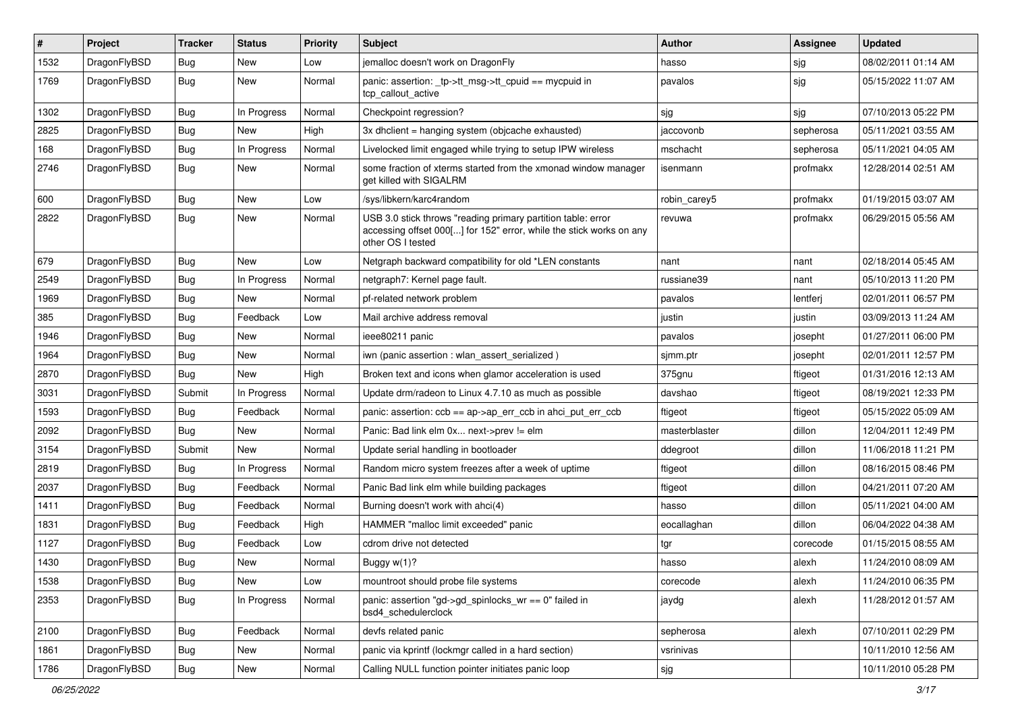| #    | <b>Project</b> | <b>Tracker</b> | <b>Status</b> | <b>Priority</b> | Subject                                                                                                                                                  | Author        | Assignee  | <b>Updated</b>      |
|------|----------------|----------------|---------------|-----------------|----------------------------------------------------------------------------------------------------------------------------------------------------------|---------------|-----------|---------------------|
| 1532 | DragonFlyBSD   | <b>Bug</b>     | New           | Low             | jemalloc doesn't work on DragonFly                                                                                                                       | hasso         | sjg       | 08/02/2011 01:14 AM |
| 1769 | DragonFlyBSD   | Bug            | New           | Normal          | panic: assertion: _tp->tt_msg->tt_cpuid == mycpuid in<br>tcp callout active                                                                              | pavalos       | sjg       | 05/15/2022 11:07 AM |
| 1302 | DragonFlyBSD   | Bug            | In Progress   | Normal          | Checkpoint regression?                                                                                                                                   | sjg           | sjg       | 07/10/2013 05:22 PM |
| 2825 | DragonFlyBSD   | Bug            | <b>New</b>    | High            | 3x dhclient = hanging system (objcache exhausted)                                                                                                        | jaccovonb     | sepherosa | 05/11/2021 03:55 AM |
| 168  | DragonFlyBSD   | <b>Bug</b>     | In Progress   | Normal          | Livelocked limit engaged while trying to setup IPW wireless                                                                                              | mschacht      | sepherosa | 05/11/2021 04:05 AM |
| 2746 | DragonFlyBSD   | <b>Bug</b>     | New           | Normal          | some fraction of xterms started from the xmonad window manager<br>get killed with SIGALRM                                                                | isenmann      | profmakx  | 12/28/2014 02:51 AM |
| 600  | DragonFlyBSD   | Bug            | <b>New</b>    | Low             | /sys/libkern/karc4random                                                                                                                                 | robin_carey5  | profmakx  | 01/19/2015 03:07 AM |
| 2822 | DragonFlyBSD   | Bug            | New           | Normal          | USB 3.0 stick throws "reading primary partition table: error<br>accessing offset 000[] for 152" error, while the stick works on any<br>other OS I tested | revuwa        | profmakx  | 06/29/2015 05:56 AM |
| 679  | DragonFlyBSD   | Bug            | <b>New</b>    | Low             | Netgraph backward compatibility for old *LEN constants                                                                                                   | nant          | nant      | 02/18/2014 05:45 AM |
| 2549 | DragonFlyBSD   | <b>Bug</b>     | In Progress   | Normal          | netgraph7: Kernel page fault.                                                                                                                            | russiane39    | nant      | 05/10/2013 11:20 PM |
| 1969 | DragonFlyBSD   | <b>Bug</b>     | New           | Normal          | pf-related network problem                                                                                                                               | pavalos       | lentferj  | 02/01/2011 06:57 PM |
| 385  | DragonFlyBSD   | <b>Bug</b>     | Feedback      | Low             | Mail archive address removal                                                                                                                             | justin        | justin    | 03/09/2013 11:24 AM |
| 1946 | DragonFlyBSD   | <b>Bug</b>     | New           | Normal          | ieee80211 panic                                                                                                                                          | pavalos       | josepht   | 01/27/2011 06:00 PM |
| 1964 | DragonFlyBSD   | Bug            | New           | Normal          | iwn (panic assertion : wlan assert serialized)                                                                                                           | sjmm.ptr      | josepht   | 02/01/2011 12:57 PM |
| 2870 | DragonFlyBSD   | <b>Bug</b>     | New           | High            | Broken text and icons when glamor acceleration is used                                                                                                   | 375gnu        | ftigeot   | 01/31/2016 12:13 AM |
| 3031 | DragonFlyBSD   | Submit         | In Progress   | Normal          | Update drm/radeon to Linux 4.7.10 as much as possible                                                                                                    | davshao       | ftigeot   | 08/19/2021 12:33 PM |
| 1593 | DragonFlyBSD   | <b>Bug</b>     | Feedback      | Normal          | panic: assertion: $ccb == ap > ap$ err $ccb$ in ahci put err $ccb$                                                                                       | ftigeot       | ftigeot   | 05/15/2022 05:09 AM |
| 2092 | DragonFlyBSD   | <b>Bug</b>     | New           | Normal          | Panic: Bad link elm 0x next->prev != elm                                                                                                                 | masterblaster | dillon    | 12/04/2011 12:49 PM |
| 3154 | DragonFlyBSD   | Submit         | New           | Normal          | Update serial handling in bootloader                                                                                                                     | ddegroot      | dillon    | 11/06/2018 11:21 PM |
| 2819 | DragonFlyBSD   | Bug            | In Progress   | Normal          | Random micro system freezes after a week of uptime                                                                                                       | ftigeot       | dillon    | 08/16/2015 08:46 PM |
| 2037 | DragonFlyBSD   | <b>Bug</b>     | Feedback      | Normal          | Panic Bad link elm while building packages                                                                                                               | ftigeot       | dillon    | 04/21/2011 07:20 AM |
| 1411 | DragonFlyBSD   | Bug            | Feedback      | Normal          | Burning doesn't work with ahci(4)                                                                                                                        | hasso         | dillon    | 05/11/2021 04:00 AM |
| 1831 | DragonFlyBSD   | <b>Bug</b>     | Feedback      | High            | HAMMER "malloc limit exceeded" panic                                                                                                                     | eocallaghan   | dillon    | 06/04/2022 04:38 AM |
| 1127 | DragonFlyBSD   | <b>Bug</b>     | Feedback      | Low             | cdrom drive not detected                                                                                                                                 | tgr           | corecode  | 01/15/2015 08:55 AM |
| 1430 | DragonFlyBSD   | <b>Bug</b>     | New           | Normal          | Buggy w(1)?                                                                                                                                              | hasso         | alexh     | 11/24/2010 08:09 AM |
| 1538 | DragonFlyBSD   | <b>Bug</b>     | New           | Low             | mountroot should probe file systems                                                                                                                      | corecode      | alexh     | 11/24/2010 06:35 PM |
| 2353 | DragonFlyBSD   | <b>Bug</b>     | In Progress   | Normal          | panic: assertion "gd->gd_spinlocks_wr == 0" failed in<br>bsd4 schedulerclock                                                                             | jaydg         | alexh     | 11/28/2012 01:57 AM |
| 2100 | DragonFlyBSD   | <b>Bug</b>     | Feedback      | Normal          | devfs related panic                                                                                                                                      | sepherosa     | alexh     | 07/10/2011 02:29 PM |
| 1861 | DragonFlyBSD   | <b>Bug</b>     | <b>New</b>    | Normal          | panic via kprintf (lockmgr called in a hard section)                                                                                                     | vsrinivas     |           | 10/11/2010 12:56 AM |
| 1786 | DragonFlyBSD   | Bug            | New           | Normal          | Calling NULL function pointer initiates panic loop                                                                                                       | sjg           |           | 10/11/2010 05:28 PM |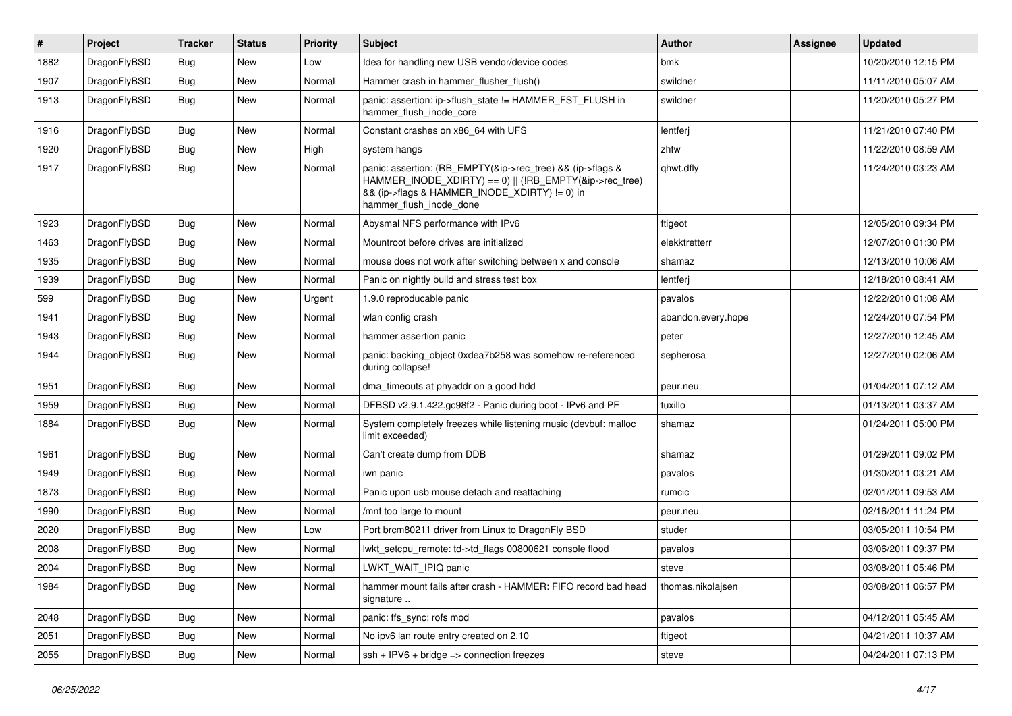| $\#$ | Project      | <b>Tracker</b> | <b>Status</b> | <b>Priority</b> | <b>Subject</b>                                                                                                                                                                                    | <b>Author</b>      | Assignee | <b>Updated</b>      |
|------|--------------|----------------|---------------|-----------------|---------------------------------------------------------------------------------------------------------------------------------------------------------------------------------------------------|--------------------|----------|---------------------|
| 1882 | DragonFlyBSD | <b>Bug</b>     | <b>New</b>    | Low             | Idea for handling new USB vendor/device codes                                                                                                                                                     | bmk                |          | 10/20/2010 12:15 PM |
| 1907 | DragonFlyBSD | Bug            | <b>New</b>    | Normal          | Hammer crash in hammer_flusher_flush()                                                                                                                                                            | swildner           |          | 11/11/2010 05:07 AM |
| 1913 | DragonFlyBSD | <b>Bug</b>     | New           | Normal          | panic: assertion: ip->flush_state != HAMMER_FST_FLUSH in<br>hammer_flush_inode_core                                                                                                               | swildner           |          | 11/20/2010 05:27 PM |
| 1916 | DragonFlyBSD | Bug            | <b>New</b>    | Normal          | Constant crashes on x86_64 with UFS                                                                                                                                                               | lentferj           |          | 11/21/2010 07:40 PM |
| 1920 | DragonFlyBSD | Bug            | New           | High            | system hangs                                                                                                                                                                                      | zhtw               |          | 11/22/2010 08:59 AM |
| 1917 | DragonFlyBSD | Bug            | New           | Normal          | panic: assertion: (RB_EMPTY(&ip->rec_tree) && (ip->flags &<br>HAMMER_INODE_XDIRTY) == 0)    (!RB_EMPTY(&ip->rec_tree)<br>&& (ip->flags & HAMMER_INODE_XDIRTY) != 0) in<br>hammer_flush_inode_done | qhwt.dfly          |          | 11/24/2010 03:23 AM |
| 1923 | DragonFlyBSD | Bug            | <b>New</b>    | Normal          | Abysmal NFS performance with IPv6                                                                                                                                                                 | ftigeot            |          | 12/05/2010 09:34 PM |
| 1463 | DragonFlyBSD | Bug            | New           | Normal          | Mountroot before drives are initialized                                                                                                                                                           | elekktretterr      |          | 12/07/2010 01:30 PM |
| 1935 | DragonFlyBSD | Bug            | <b>New</b>    | Normal          | mouse does not work after switching between x and console                                                                                                                                         | shamaz             |          | 12/13/2010 10:06 AM |
| 1939 | DragonFlyBSD | Bug            | New           | Normal          | Panic on nightly build and stress test box                                                                                                                                                        | lentferj           |          | 12/18/2010 08:41 AM |
| 599  | DragonFlyBSD | <b>Bug</b>     | <b>New</b>    | Urgent          | 1.9.0 reproducable panic                                                                                                                                                                          | pavalos            |          | 12/22/2010 01:08 AM |
| 1941 | DragonFlyBSD | Bug            | New           | Normal          | wlan config crash                                                                                                                                                                                 | abandon.every.hope |          | 12/24/2010 07:54 PM |
| 1943 | DragonFlyBSD | Bug            | New           | Normal          | hammer assertion panic                                                                                                                                                                            | peter              |          | 12/27/2010 12:45 AM |
| 1944 | DragonFlyBSD | Bug            | New           | Normal          | panic: backing object 0xdea7b258 was somehow re-referenced<br>during collapse!                                                                                                                    | sepherosa          |          | 12/27/2010 02:06 AM |
| 1951 | DragonFlyBSD | <b>Bug</b>     | <b>New</b>    | Normal          | dma timeouts at phyaddr on a good hdd                                                                                                                                                             | peur.neu           |          | 01/04/2011 07:12 AM |
| 1959 | DragonFlyBSD | Bug            | New           | Normal          | DFBSD v2.9.1.422.gc98f2 - Panic during boot - IPv6 and PF                                                                                                                                         | tuxillo            |          | 01/13/2011 03:37 AM |
| 1884 | DragonFlyBSD | <b>Bug</b>     | New           | Normal          | System completely freezes while listening music (devbuf: malloc<br>limit exceeded)                                                                                                                | shamaz             |          | 01/24/2011 05:00 PM |
| 1961 | DragonFlyBSD | Bug            | New           | Normal          | Can't create dump from DDB                                                                                                                                                                        | shamaz             |          | 01/29/2011 09:02 PM |
| 1949 | DragonFlyBSD | Bug            | New           | Normal          | iwn panic                                                                                                                                                                                         | pavalos            |          | 01/30/2011 03:21 AM |
| 1873 | DragonFlyBSD | Bug            | <b>New</b>    | Normal          | Panic upon usb mouse detach and reattaching                                                                                                                                                       | rumcic             |          | 02/01/2011 09:53 AM |
| 1990 | DragonFlyBSD | <b>Bug</b>     | New           | Normal          | /mnt too large to mount                                                                                                                                                                           | peur.neu           |          | 02/16/2011 11:24 PM |
| 2020 | DragonFlyBSD | <b>Bug</b>     | New           | Low             | Port brcm80211 driver from Linux to DragonFly BSD                                                                                                                                                 | studer             |          | 03/05/2011 10:54 PM |
| 2008 | DragonFlyBSD | Bug            | New           | Normal          | lwkt_setcpu_remote: td->td_flags 00800621 console flood                                                                                                                                           | pavalos            |          | 03/06/2011 09:37 PM |
| 2004 | DragonFlyBSD | <b>Bug</b>     | New           | Normal          | LWKT_WAIT_IPIQ panic                                                                                                                                                                              | steve              |          | 03/08/2011 05:46 PM |
| 1984 | DragonFlyBSD | Bug            | New           | Normal          | hammer mount fails after crash - HAMMER: FIFO record bad head<br>signature                                                                                                                        | thomas.nikolajsen  |          | 03/08/2011 06:57 PM |
| 2048 | DragonFlyBSD | Bug            | New           | Normal          | panic: ffs_sync: rofs mod                                                                                                                                                                         | pavalos            |          | 04/12/2011 05:45 AM |
| 2051 | DragonFlyBSD | Bug            | New           | Normal          | No ipv6 lan route entry created on 2.10                                                                                                                                                           | ftigeot            |          | 04/21/2011 10:37 AM |
| 2055 | DragonFlyBSD | Bug            | New           | Normal          | $ssh + IPV6 + bridge \Rightarrow$ connection freezes                                                                                                                                              | steve              |          | 04/24/2011 07:13 PM |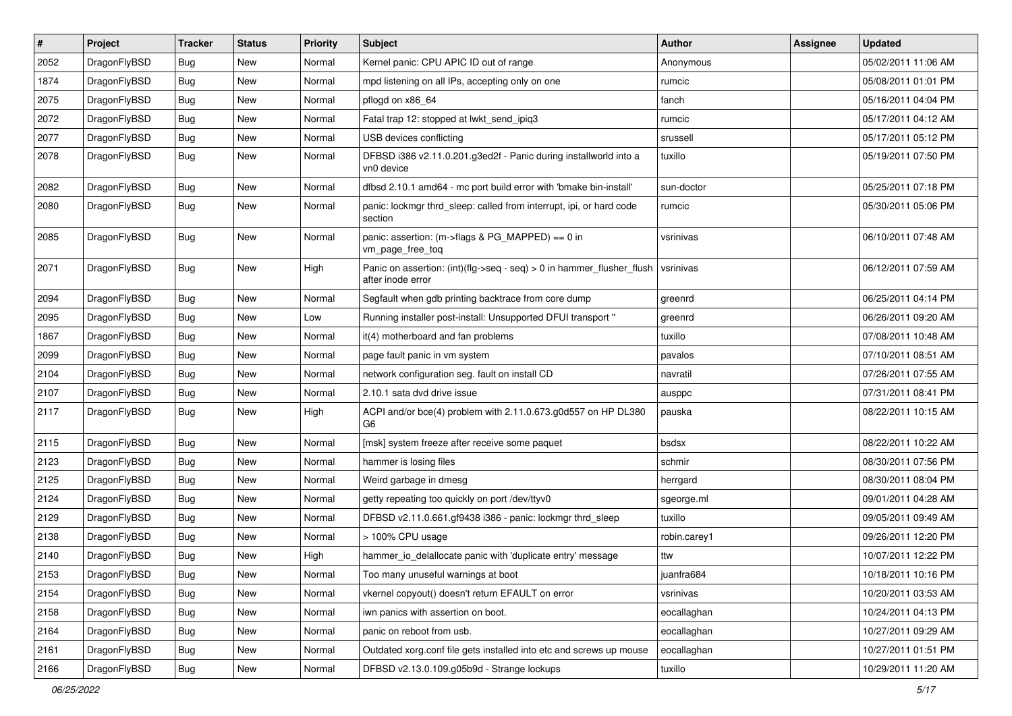| $\sharp$ | Project      | <b>Tracker</b> | <b>Status</b> | <b>Priority</b> | Subject                                                                                    | <b>Author</b> | <b>Assignee</b> | <b>Updated</b>      |
|----------|--------------|----------------|---------------|-----------------|--------------------------------------------------------------------------------------------|---------------|-----------------|---------------------|
| 2052     | DragonFlyBSD | Bug            | New           | Normal          | Kernel panic: CPU APIC ID out of range                                                     | Anonymous     |                 | 05/02/2011 11:06 AM |
| 1874     | DragonFlyBSD | Bug            | <b>New</b>    | Normal          | mpd listening on all IPs, accepting only on one                                            | rumcic        |                 | 05/08/2011 01:01 PM |
| 2075     | DragonFlyBSD | Bug            | New           | Normal          | pflogd on x86 64                                                                           | fanch         |                 | 05/16/2011 04:04 PM |
| 2072     | DragonFlyBSD | Bug            | <b>New</b>    | Normal          | Fatal trap 12: stopped at lwkt_send_ipiq3                                                  | rumcic        |                 | 05/17/2011 04:12 AM |
| 2077     | DragonFlyBSD | Bug            | New           | Normal          | USB devices conflicting                                                                    | srussell      |                 | 05/17/2011 05:12 PM |
| 2078     | DragonFlyBSD | Bug            | <b>New</b>    | Normal          | DFBSD i386 v2.11.0.201.g3ed2f - Panic during installworld into a<br>vn0 device             | tuxillo       |                 | 05/19/2011 07:50 PM |
| 2082     | DragonFlyBSD | Bug            | <b>New</b>    | Normal          | dfbsd 2.10.1 amd64 - mc port build error with 'bmake bin-install'                          | sun-doctor    |                 | 05/25/2011 07:18 PM |
| 2080     | DragonFlyBSD | Bug            | New           | Normal          | panic: lockmgr thrd_sleep: called from interrupt, ipi, or hard code<br>section             | rumcic        |                 | 05/30/2011 05:06 PM |
| 2085     | DragonFlyBSD | Bug            | <b>New</b>    | Normal          | panic: assertion: (m->flags & PG_MAPPED) == 0 in<br>vm_page_free_toq                       | vsrinivas     |                 | 06/10/2011 07:48 AM |
| 2071     | DragonFlyBSD | Bug            | <b>New</b>    | High            | Panic on assertion: (int)(flg->seq - seq) > 0 in hammer_flusher_flush<br>after inode error | vsrinivas     |                 | 06/12/2011 07:59 AM |
| 2094     | DragonFlyBSD | Bug            | <b>New</b>    | Normal          | Segfault when gdb printing backtrace from core dump                                        | greenrd       |                 | 06/25/2011 04:14 PM |
| 2095     | DragonFlyBSD | Bug            | <b>New</b>    | Low             | Running installer post-install: Unsupported DFUI transport"                                | greenrd       |                 | 06/26/2011 09:20 AM |
| 1867     | DragonFlyBSD | Bug            | <b>New</b>    | Normal          | it(4) motherboard and fan problems                                                         | tuxillo       |                 | 07/08/2011 10:48 AM |
| 2099     | DragonFlyBSD | Bug            | New           | Normal          | page fault panic in vm system                                                              | pavalos       |                 | 07/10/2011 08:51 AM |
| 2104     | DragonFlyBSD | Bug            | New           | Normal          | network configuration seg. fault on install CD                                             | navratil      |                 | 07/26/2011 07:55 AM |
| 2107     | DragonFlyBSD | Bug            | New           | Normal          | 2.10.1 sata dvd drive issue                                                                | ausppc        |                 | 07/31/2011 08:41 PM |
| 2117     | DragonFlyBSD | Bug            | <b>New</b>    | High            | ACPI and/or bce(4) problem with 2.11.0.673.g0d557 on HP DL380<br>G <sub>6</sub>            | pauska        |                 | 08/22/2011 10:15 AM |
| 2115     | DragonFlyBSD | Bug            | <b>New</b>    | Normal          | [msk] system freeze after receive some paquet                                              | bsdsx         |                 | 08/22/2011 10:22 AM |
| 2123     | DragonFlyBSD | Bug            | New           | Normal          | hammer is losing files                                                                     | schmir        |                 | 08/30/2011 07:56 PM |
| 2125     | DragonFlyBSD | Bug            | New           | Normal          | Weird garbage in dmesg                                                                     | herrgard      |                 | 08/30/2011 08:04 PM |
| 2124     | DragonFlyBSD | Bug            | <b>New</b>    | Normal          | getty repeating too quickly on port /dev/ttyv0                                             | sgeorge.ml    |                 | 09/01/2011 04:28 AM |
| 2129     | DragonFlyBSD | Bug            | New           | Normal          | DFBSD v2.11.0.661.gf9438 i386 - panic: lockmgr thrd_sleep                                  | tuxillo       |                 | 09/05/2011 09:49 AM |
| 2138     | DragonFlyBSD | Bug            | <b>New</b>    | Normal          | > 100% CPU usage                                                                           | robin.carey1  |                 | 09/26/2011 12:20 PM |
| 2140     | DragonFlyBSD | Bug            | New           | High            | hammer_io_delallocate panic with 'duplicate entry' message                                 | ttw           |                 | 10/07/2011 12:22 PM |
| 2153     | DragonFlyBSD | <b>Bug</b>     | I New         | Normal          | Too many unuseful warnings at boot                                                         | juanfra684    |                 | 10/18/2011 10:16 PM |
| 2154     | DragonFlyBSD | <b>Bug</b>     | New           | Normal          | vkernel copyout() doesn't return EFAULT on error                                           | vsrinivas     |                 | 10/20/2011 03:53 AM |
| 2158     | DragonFlyBSD | <b>Bug</b>     | New           | Normal          | iwn panics with assertion on boot.                                                         | eocallaghan   |                 | 10/24/2011 04:13 PM |
| 2164     | DragonFlyBSD | <b>Bug</b>     | New           | Normal          | panic on reboot from usb.                                                                  | eocallaghan   |                 | 10/27/2011 09:29 AM |
| 2161     | DragonFlyBSD | <b>Bug</b>     | <b>New</b>    | Normal          | Outdated xorg.conf file gets installed into etc and screws up mouse                        | eocallaghan   |                 | 10/27/2011 01:51 PM |
| 2166     | DragonFlyBSD | <b>Bug</b>     | New           | Normal          | DFBSD v2.13.0.109.g05b9d - Strange lockups                                                 | tuxillo       |                 | 10/29/2011 11:20 AM |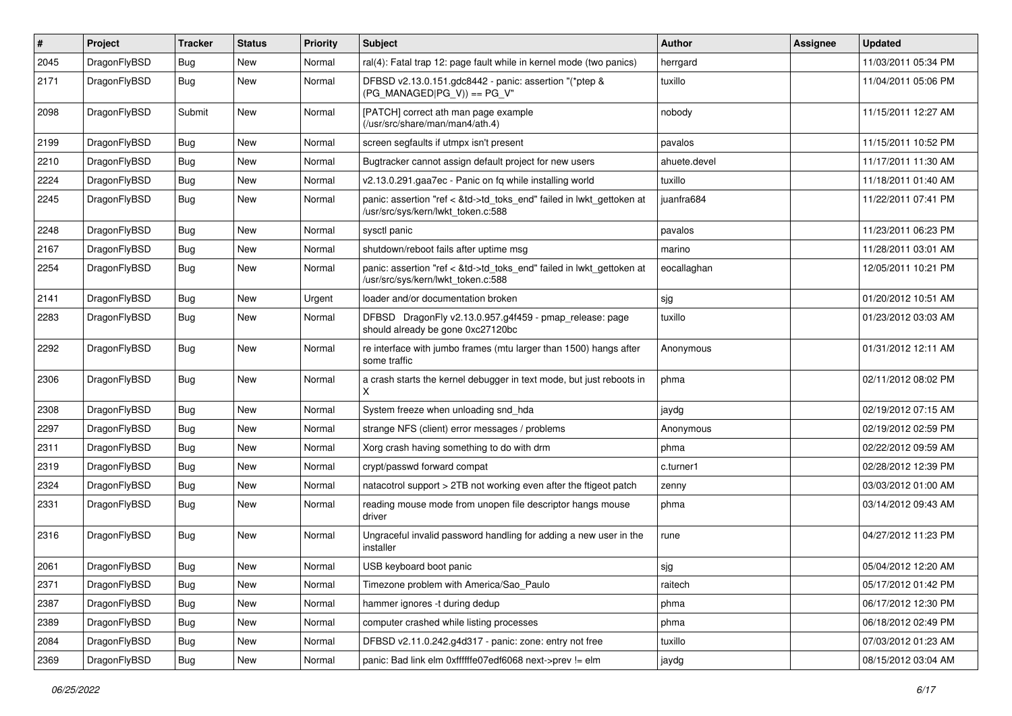| $\sharp$ | Project      | <b>Tracker</b> | <b>Status</b> | <b>Priority</b> | Subject                                                                                                    | Author       | Assignee | <b>Updated</b>      |
|----------|--------------|----------------|---------------|-----------------|------------------------------------------------------------------------------------------------------------|--------------|----------|---------------------|
| 2045     | DragonFlyBSD | Bug            | <b>New</b>    | Normal          | ral(4): Fatal trap 12: page fault while in kernel mode (two panics)                                        | herrgard     |          | 11/03/2011 05:34 PM |
| 2171     | DragonFlyBSD | <b>Bug</b>     | New           | Normal          | DFBSD v2.13.0.151.gdc8442 - panic: assertion "(*ptep &<br>(PG MANAGED PG V)) == PG V"                      | tuxillo      |          | 11/04/2011 05:06 PM |
| 2098     | DragonFlyBSD | Submit         | New           | Normal          | [PATCH] correct ath man page example<br>(/usr/src/share/man/man4/ath.4)                                    | nobody       |          | 11/15/2011 12:27 AM |
| 2199     | DragonFlyBSD | Bug            | New           | Normal          | screen segfaults if utmpx isn't present                                                                    | pavalos      |          | 11/15/2011 10:52 PM |
| 2210     | DragonFlyBSD | Bug            | <b>New</b>    | Normal          | Bugtracker cannot assign default project for new users                                                     | ahuete.devel |          | 11/17/2011 11:30 AM |
| 2224     | DragonFlyBSD | Bug            | New           | Normal          | v2.13.0.291.gaa7ec - Panic on fq while installing world                                                    | tuxillo      |          | 11/18/2011 01:40 AM |
| 2245     | DragonFlyBSD | Bug            | New           | Normal          | panic: assertion "ref < &td->td_toks_end" failed in lwkt_gettoken at<br>/usr/src/sys/kern/lwkt_token.c:588 | juanfra684   |          | 11/22/2011 07:41 PM |
| 2248     | DragonFlyBSD | Bug            | <b>New</b>    | Normal          | sysctl panic                                                                                               | pavalos      |          | 11/23/2011 06:23 PM |
| 2167     | DragonFlyBSD | Bug            | <b>New</b>    | Normal          | shutdown/reboot fails after uptime msg                                                                     | marino       |          | 11/28/2011 03:01 AM |
| 2254     | DragonFlyBSD | Bug            | New           | Normal          | panic: assertion "ref < &td->td_toks_end" failed in lwkt_gettoken at<br>/usr/src/sys/kern/lwkt_token.c:588 | eocallaghan  |          | 12/05/2011 10:21 PM |
| 2141     | DragonFlyBSD | Bug            | New           | Urgent          | loader and/or documentation broken                                                                         | sjg          |          | 01/20/2012 10:51 AM |
| 2283     | DragonFlyBSD | Bug            | New           | Normal          | DFBSD DragonFly v2.13.0.957.g4f459 - pmap_release: page<br>should already be gone 0xc27120bc               | tuxillo      |          | 01/23/2012 03:03 AM |
| 2292     | DragonFlyBSD | Bug            | New           | Normal          | re interface with jumbo frames (mtu larger than 1500) hangs after<br>some traffic                          | Anonymous    |          | 01/31/2012 12:11 AM |
| 2306     | DragonFlyBSD | Bug            | New           | Normal          | a crash starts the kernel debugger in text mode, but just reboots in<br>X                                  | phma         |          | 02/11/2012 08:02 PM |
| 2308     | DragonFlyBSD | Bug            | <b>New</b>    | Normal          | System freeze when unloading snd_hda                                                                       | jaydg        |          | 02/19/2012 07:15 AM |
| 2297     | DragonFlyBSD | Bug            | <b>New</b>    | Normal          | strange NFS (client) error messages / problems                                                             | Anonymous    |          | 02/19/2012 02:59 PM |
| 2311     | DragonFlyBSD | Bug            | New           | Normal          | Xorg crash having something to do with drm                                                                 | phma         |          | 02/22/2012 09:59 AM |
| 2319     | DragonFlyBSD | Bug            | <b>New</b>    | Normal          | crypt/passwd forward compat                                                                                | c.turner1    |          | 02/28/2012 12:39 PM |
| 2324     | DragonFlyBSD | Bug            | <b>New</b>    | Normal          | natacotrol support > 2TB not working even after the ftigeot patch                                          | zenny        |          | 03/03/2012 01:00 AM |
| 2331     | DragonFlyBSD | Bug            | New           | Normal          | reading mouse mode from unopen file descriptor hangs mouse<br>driver                                       | phma         |          | 03/14/2012 09:43 AM |
| 2316     | DragonFlyBSD | <b>Bug</b>     | New           | Normal          | Ungraceful invalid password handling for adding a new user in the<br>installer                             | rune         |          | 04/27/2012 11:23 PM |
| 2061     | DragonFlyBSD | Bug            | New           | Normal          | USB keyboard boot panic                                                                                    | sjg          |          | 05/04/2012 12:20 AM |
| 2371     | DragonFlyBSD | Bug            | New           | Normal          | Timezone problem with America/Sao_Paulo                                                                    | raitech      |          | 05/17/2012 01:42 PM |
| 2387     | DragonFlyBSD | Bug            | New           | Normal          | hammer ignores -t during dedup                                                                             | phma         |          | 06/17/2012 12:30 PM |
| 2389     | DragonFlyBSD | <b>Bug</b>     | <b>New</b>    | Normal          | computer crashed while listing processes                                                                   | phma         |          | 06/18/2012 02:49 PM |
| 2084     | DragonFlyBSD | <b>Bug</b>     | New           | Normal          | DFBSD v2.11.0.242.g4d317 - panic: zone: entry not free                                                     | tuxillo      |          | 07/03/2012 01:23 AM |
| 2369     | DragonFlyBSD | <b>Bug</b>     | New           | Normal          | panic: Bad link elm 0xffffffe07edf6068 next->prev != elm                                                   | jaydg        |          | 08/15/2012 03:04 AM |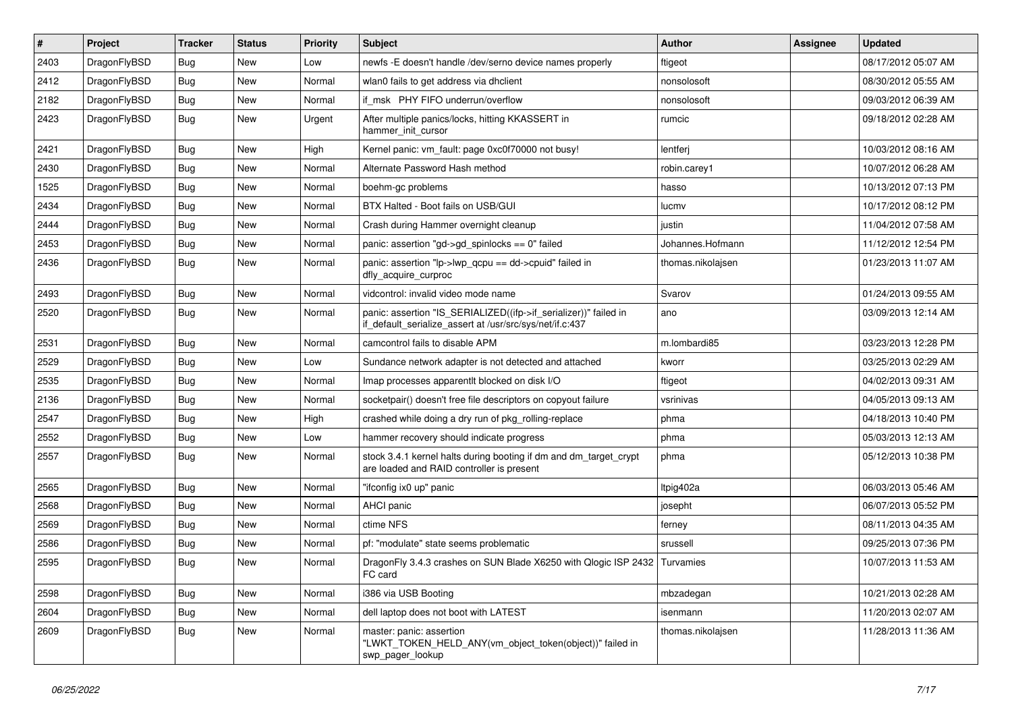| $\vert$ # | Project      | <b>Tracker</b> | <b>Status</b> | <b>Priority</b> | <b>Subject</b>                                                                                                               | Author            | Assignee | <b>Updated</b>      |
|-----------|--------------|----------------|---------------|-----------------|------------------------------------------------------------------------------------------------------------------------------|-------------------|----------|---------------------|
| 2403      | DragonFlyBSD | Bug            | <b>New</b>    | Low             | newfs -E doesn't handle /dev/serno device names properly                                                                     | ftigeot           |          | 08/17/2012 05:07 AM |
| 2412      | DragonFlyBSD | <b>Bug</b>     | <b>New</b>    | Normal          | wlan0 fails to get address via dhclient                                                                                      | nonsolosoft       |          | 08/30/2012 05:55 AM |
| 2182      | DragonFlyBSD | <b>Bug</b>     | <b>New</b>    | Normal          | if msk PHY FIFO underrun/overflow                                                                                            | nonsolosoft       |          | 09/03/2012 06:39 AM |
| 2423      | DragonFlyBSD | Bug            | New           | Urgent          | After multiple panics/locks, hitting KKASSERT in<br>hammer init cursor                                                       | rumcic            |          | 09/18/2012 02:28 AM |
| 2421      | DragonFlyBSD | Bug            | <b>New</b>    | High            | Kernel panic: vm_fault: page 0xc0f70000 not busy!                                                                            | lentferj          |          | 10/03/2012 08:16 AM |
| 2430      | DragonFlyBSD | Bug            | <b>New</b>    | Normal          | Alternate Password Hash method                                                                                               | robin.carey1      |          | 10/07/2012 06:28 AM |
| 1525      | DragonFlyBSD | Bug            | New           | Normal          | boehm-gc problems                                                                                                            | hasso             |          | 10/13/2012 07:13 PM |
| 2434      | DragonFlyBSD | Bug            | <b>New</b>    | Normal          | BTX Halted - Boot fails on USB/GUI                                                                                           | lucmv             |          | 10/17/2012 08:12 PM |
| 2444      | DragonFlyBSD | <b>Bug</b>     | <b>New</b>    | Normal          | Crash during Hammer overnight cleanup                                                                                        | justin            |          | 11/04/2012 07:58 AM |
| 2453      | DragonFlyBSD | <b>Bug</b>     | <b>New</b>    | Normal          | panic: assertion "gd->gd_spinlocks == 0" failed                                                                              | Johannes.Hofmann  |          | 11/12/2012 12:54 PM |
| 2436      | DragonFlyBSD | Bug            | New           | Normal          | panic: assertion "lp->lwp_qcpu == dd->cpuid" failed in<br>dfly_acquire_curproc                                               | thomas.nikolajsen |          | 01/23/2013 11:07 AM |
| 2493      | DragonFlyBSD | Bug            | <b>New</b>    | Normal          | vidcontrol: invalid video mode name                                                                                          | Svarov            |          | 01/24/2013 09:55 AM |
| 2520      | DragonFlyBSD | Bug            | <b>New</b>    | Normal          | panic: assertion "IS_SERIALIZED((ifp->if_serializer))" failed in<br>if_default_serialize_assert at /usr/src/sys/net/if.c:437 | ano               |          | 03/09/2013 12:14 AM |
| 2531      | DragonFlyBSD | Bug            | New           | Normal          | camcontrol fails to disable APM                                                                                              | m.lombardi85      |          | 03/23/2013 12:28 PM |
| 2529      | DragonFlyBSD | <b>Bug</b>     | <b>New</b>    | Low             | Sundance network adapter is not detected and attached                                                                        | kworr             |          | 03/25/2013 02:29 AM |
| 2535      | DragonFlyBSD | <b>Bug</b>     | <b>New</b>    | Normal          | Imap processes apparentlt blocked on disk I/O                                                                                | ftigeot           |          | 04/02/2013 09:31 AM |
| 2136      | DragonFlyBSD | Bug            | <b>New</b>    | Normal          | socketpair() doesn't free file descriptors on copyout failure                                                                | vsrinivas         |          | 04/05/2013 09:13 AM |
| 2547      | DragonFlyBSD | Bug            | <b>New</b>    | High            | crashed while doing a dry run of pkg_rolling-replace                                                                         | phma              |          | 04/18/2013 10:40 PM |
| 2552      | DragonFlyBSD | Bug            | <b>New</b>    | Low             | hammer recovery should indicate progress                                                                                     | phma              |          | 05/03/2013 12:13 AM |
| 2557      | DragonFlyBSD | Bug            | <b>New</b>    | Normal          | stock 3.4.1 kernel halts during booting if dm and dm_target_crypt<br>are loaded and RAID controller is present               | phma              |          | 05/12/2013 10:38 PM |
| 2565      | DragonFlyBSD | Bug            | <b>New</b>    | Normal          | "ifconfig ix0 up" panic                                                                                                      | ltpig402a         |          | 06/03/2013 05:46 AM |
| 2568      | DragonFlyBSD | Bug            | <b>New</b>    | Normal          | <b>AHCI</b> panic                                                                                                            | josepht           |          | 06/07/2013 05:52 PM |
| 2569      | DragonFlyBSD | <b>Bug</b>     | <b>New</b>    | Normal          | ctime NFS                                                                                                                    | ferney            |          | 08/11/2013 04:35 AM |
| 2586      | DragonFlyBSD | Bug            | New           | Normal          | pf: "modulate" state seems problematic                                                                                       | srussell          |          | 09/25/2013 07:36 PM |
| 2595      | DragonFlyBSD | Bug            | <b>New</b>    | Normal          | DragonFly 3.4.3 crashes on SUN Blade X6250 with Qlogic ISP 2432<br>FC card                                                   | Turvamies         |          | 10/07/2013 11:53 AM |
| 2598      | DragonFlyBSD | Bug            | New           | Normal          | i386 via USB Booting                                                                                                         | mbzadegan         |          | 10/21/2013 02:28 AM |
| 2604      | DragonFlyBSD | Bug            | New           | Normal          | dell laptop does not boot with LATEST                                                                                        | isenmann          |          | 11/20/2013 02:07 AM |
| 2609      | DragonFlyBSD | Bug            | New           | Normal          | master: panic: assertion<br>"LWKT_TOKEN_HELD_ANY(vm_object_token(object))" failed in<br>swp pager lookup                     | thomas.nikolajsen |          | 11/28/2013 11:36 AM |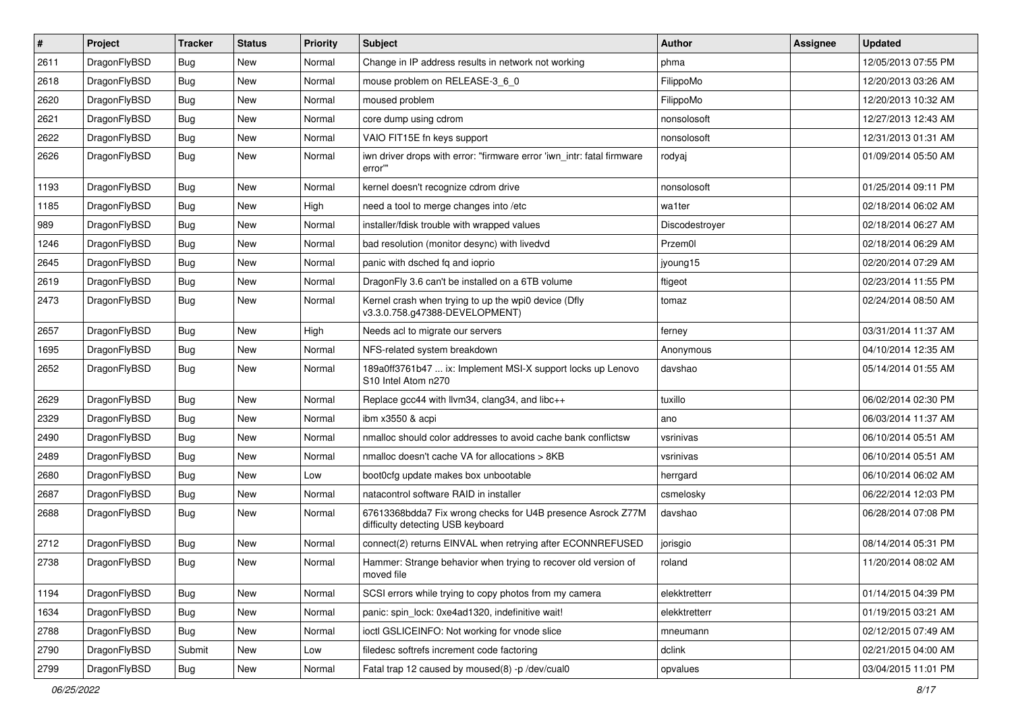| #    | Project      | <b>Tracker</b> | <b>Status</b> | <b>Priority</b> | <b>Subject</b>                                                                                   | Author         | <b>Assignee</b> | <b>Updated</b>      |
|------|--------------|----------------|---------------|-----------------|--------------------------------------------------------------------------------------------------|----------------|-----------------|---------------------|
| 2611 | DragonFlyBSD | Bug            | <b>New</b>    | Normal          | Change in IP address results in network not working                                              | phma           |                 | 12/05/2013 07:55 PM |
| 2618 | DragonFlyBSD | Bug            | <b>New</b>    | Normal          | mouse problem on RELEASE-3_6_0                                                                   | FilippoMo      |                 | 12/20/2013 03:26 AM |
| 2620 | DragonFlyBSD | <b>Bug</b>     | <b>New</b>    | Normal          | moused problem                                                                                   | FilippoMo      |                 | 12/20/2013 10:32 AM |
| 2621 | DragonFlyBSD | Bug            | <b>New</b>    | Normal          | core dump using cdrom                                                                            | nonsolosoft    |                 | 12/27/2013 12:43 AM |
| 2622 | DragonFlyBSD | Bug            | <b>New</b>    | Normal          | VAIO FIT15E fn keys support                                                                      | nonsolosoft    |                 | 12/31/2013 01:31 AM |
| 2626 | DragonFlyBSD | Bug            | New           | Normal          | iwn driver drops with error: "firmware error 'iwn intr: fatal firmware<br>error""                | rodyaj         |                 | 01/09/2014 05:50 AM |
| 1193 | DragonFlyBSD | Bug            | <b>New</b>    | Normal          | kernel doesn't recognize cdrom drive                                                             | nonsolosoft    |                 | 01/25/2014 09:11 PM |
| 1185 | DragonFlyBSD | <b>Bug</b>     | <b>New</b>    | High            | need a tool to merge changes into /etc                                                           | wa1ter         |                 | 02/18/2014 06:02 AM |
| 989  | DragonFlyBSD | <b>Bug</b>     | <b>New</b>    | Normal          | installer/fdisk trouble with wrapped values                                                      | Discodestroyer |                 | 02/18/2014 06:27 AM |
| 1246 | DragonFlyBSD | Bug            | <b>New</b>    | Normal          | bad resolution (monitor desync) with livedvd                                                     | Przem0l        |                 | 02/18/2014 06:29 AM |
| 2645 | DragonFlyBSD | Bug            | <b>New</b>    | Normal          | panic with dsched fq and ioprio                                                                  | jyoung15       |                 | 02/20/2014 07:29 AM |
| 2619 | DragonFlyBSD | Bug            | New           | Normal          | DragonFly 3.6 can't be installed on a 6TB volume                                                 | ftigeot        |                 | 02/23/2014 11:55 PM |
| 2473 | DragonFlyBSD | Bug            | New           | Normal          | Kernel crash when trying to up the wpi0 device (Dfly<br>v3.3.0.758.g47388-DEVELOPMENT)           | tomaz          |                 | 02/24/2014 08:50 AM |
| 2657 | DragonFlyBSD | Bug            | <b>New</b>    | High            | Needs acl to migrate our servers                                                                 | ferney         |                 | 03/31/2014 11:37 AM |
| 1695 | DragonFlyBSD | <b>Bug</b>     | <b>New</b>    | Normal          | NFS-related system breakdown                                                                     | Anonymous      |                 | 04/10/2014 12:35 AM |
| 2652 | DragonFlyBSD | <b>Bug</b>     | <b>New</b>    | Normal          | 189a0ff3761b47  ix: Implement MSI-X support locks up Lenovo<br>S10 Intel Atom n270               | davshao        |                 | 05/14/2014 01:55 AM |
| 2629 | DragonFlyBSD | Bug            | New           | Normal          | Replace gcc44 with llvm34, clang34, and libc++                                                   | tuxillo        |                 | 06/02/2014 02:30 PM |
| 2329 | DragonFlyBSD | Bug            | <b>New</b>    | Normal          | ibm x3550 & acpi                                                                                 | ano            |                 | 06/03/2014 11:37 AM |
| 2490 | DragonFlyBSD | <b>Bug</b>     | <b>New</b>    | Normal          | nmalloc should color addresses to avoid cache bank conflictsw                                    | vsrinivas      |                 | 06/10/2014 05:51 AM |
| 2489 | DragonFlyBSD | <b>Bug</b>     | <b>New</b>    | Normal          | nmalloc doesn't cache VA for allocations > 8KB                                                   | vsrinivas      |                 | 06/10/2014 05:51 AM |
| 2680 | DragonFlyBSD | Bug            | <b>New</b>    | Low             | boot0cfg update makes box unbootable                                                             | herrgard       |                 | 06/10/2014 06:02 AM |
| 2687 | DragonFlyBSD | <b>Bug</b>     | <b>New</b>    | Normal          | natacontrol software RAID in installer                                                           | csmelosky      |                 | 06/22/2014 12:03 PM |
| 2688 | DragonFlyBSD | <b>Bug</b>     | <b>New</b>    | Normal          | 67613368bdda7 Fix wrong checks for U4B presence Asrock Z77M<br>difficulty detecting USB keyboard | davshao        |                 | 06/28/2014 07:08 PM |
| 2712 | DragonFlyBSD | Bug            | <b>New</b>    | Normal          | connect(2) returns EINVAL when retrying after ECONNREFUSED                                       | jorisgio       |                 | 08/14/2014 05:31 PM |
| 2738 | DragonFlyBSD | Bug            | New           | Normal          | Hammer: Strange behavior when trying to recover old version of<br>moved file                     | roland         |                 | 11/20/2014 08:02 AM |
| 1194 | DragonFlyBSD | Bug            | New           | Normal          | SCSI errors while trying to copy photos from my camera                                           | elekktretterr  |                 | 01/14/2015 04:39 PM |
| 1634 | DragonFlyBSD | <b>Bug</b>     | New           | Normal          | panic: spin_lock: 0xe4ad1320, indefinitive wait!                                                 | elekktretterr  |                 | 01/19/2015 03:21 AM |
| 2788 | DragonFlyBSD | <b>Bug</b>     | New           | Normal          | ioctl GSLICEINFO: Not working for vnode slice                                                    | mneumann       |                 | 02/12/2015 07:49 AM |
| 2790 | DragonFlyBSD | Submit         | New           | Low             | filedesc softrefs increment code factoring                                                       | dclink         |                 | 02/21/2015 04:00 AM |
| 2799 | DragonFlyBSD | <b>Bug</b>     | New           | Normal          | Fatal trap 12 caused by moused(8) -p /dev/cual0                                                  | opvalues       |                 | 03/04/2015 11:01 PM |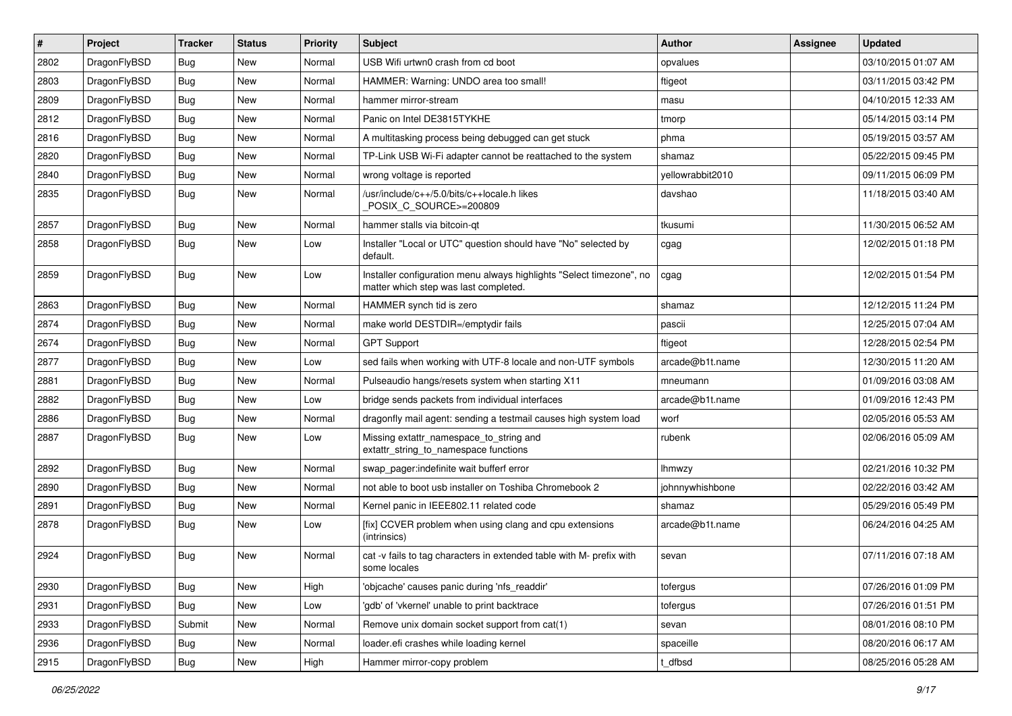| $\sharp$ | Project      | <b>Tracker</b> | <b>Status</b> | <b>Priority</b> | Subject                                                                                                       | Author           | Assignee | <b>Updated</b>      |
|----------|--------------|----------------|---------------|-----------------|---------------------------------------------------------------------------------------------------------------|------------------|----------|---------------------|
| 2802     | DragonFlyBSD | Bug            | <b>New</b>    | Normal          | USB Wifi urtwn0 crash from cd boot                                                                            | opvalues         |          | 03/10/2015 01:07 AM |
| 2803     | DragonFlyBSD | Bug            | <b>New</b>    | Normal          | HAMMER: Warning: UNDO area too small!                                                                         | ftigeot          |          | 03/11/2015 03:42 PM |
| 2809     | DragonFlyBSD | Bug            | <b>New</b>    | Normal          | hammer mirror-stream                                                                                          | masu             |          | 04/10/2015 12:33 AM |
| 2812     | DragonFlyBSD | Bug            | New           | Normal          | Panic on Intel DE3815TYKHE                                                                                    | tmorp            |          | 05/14/2015 03:14 PM |
| 2816     | DragonFlyBSD | Bug            | <b>New</b>    | Normal          | A multitasking process being debugged can get stuck                                                           | phma             |          | 05/19/2015 03:57 AM |
| 2820     | DragonFlyBSD | Bug            | New           | Normal          | TP-Link USB Wi-Fi adapter cannot be reattached to the system                                                  | shamaz           |          | 05/22/2015 09:45 PM |
| 2840     | DragonFlyBSD | Bug            | <b>New</b>    | Normal          | wrong voltage is reported                                                                                     | yellowrabbit2010 |          | 09/11/2015 06:09 PM |
| 2835     | DragonFlyBSD | Bug            | <b>New</b>    | Normal          | /usr/include/c++/5.0/bits/c++locale.h likes<br>POSIX_C_SOURCE>=200809                                         | davshao          |          | 11/18/2015 03:40 AM |
| 2857     | DragonFlyBSD | Bug            | New           | Normal          | hammer stalls via bitcoin-qt                                                                                  | tkusumi          |          | 11/30/2015 06:52 AM |
| 2858     | DragonFlyBSD | Bug            | <b>New</b>    | Low             | Installer "Local or UTC" question should have "No" selected by<br>default.                                    | cgag             |          | 12/02/2015 01:18 PM |
| 2859     | DragonFlyBSD | <b>Bug</b>     | New           | Low             | Installer configuration menu always highlights "Select timezone", no<br>matter which step was last completed. | cgag             |          | 12/02/2015 01:54 PM |
| 2863     | DragonFlyBSD | Bug            | <b>New</b>    | Normal          | HAMMER synch tid is zero                                                                                      | shamaz           |          | 12/12/2015 11:24 PM |
| 2874     | DragonFlyBSD | Bug            | <b>New</b>    | Normal          | make world DESTDIR=/emptydir fails                                                                            | pascii           |          | 12/25/2015 07:04 AM |
| 2674     | DragonFlyBSD | Bug            | <b>New</b>    | Normal          | <b>GPT Support</b>                                                                                            | ftigeot          |          | 12/28/2015 02:54 PM |
| 2877     | DragonFlyBSD | Bug            | <b>New</b>    | Low             | sed fails when working with UTF-8 locale and non-UTF symbols                                                  | arcade@b1t.name  |          | 12/30/2015 11:20 AM |
| 2881     | DragonFlyBSD | Bug            | <b>New</b>    | Normal          | Pulseaudio hangs/resets system when starting X11                                                              | mneumann         |          | 01/09/2016 03:08 AM |
| 2882     | DragonFlyBSD | Bug            | <b>New</b>    | Low             | bridge sends packets from individual interfaces                                                               | arcade@b1t.name  |          | 01/09/2016 12:43 PM |
| 2886     | DragonFlyBSD | Bug            | <b>New</b>    | Normal          | dragonfly mail agent: sending a testmail causes high system load                                              | worf             |          | 02/05/2016 05:53 AM |
| 2887     | DragonFlyBSD | Bug            | <b>New</b>    | Low             | Missing extattr_namespace_to_string and<br>extattr_string_to_namespace functions                              | rubenk           |          | 02/06/2016 05:09 AM |
| 2892     | DragonFlyBSD | Bug            | <b>New</b>    | Normal          | swap_pager:indefinite wait bufferf error                                                                      | <b>Ihmwzy</b>    |          | 02/21/2016 10:32 PM |
| 2890     | DragonFlyBSD | Bug            | <b>New</b>    | Normal          | not able to boot usb installer on Toshiba Chromebook 2                                                        | johnnywhishbone  |          | 02/22/2016 03:42 AM |
| 2891     | DragonFlyBSD | Bug            | <b>New</b>    | Normal          | Kernel panic in IEEE802.11 related code                                                                       | shamaz           |          | 05/29/2016 05:49 PM |
| 2878     | DragonFlyBSD | <b>Bug</b>     | <b>New</b>    | Low             | [fix] CCVER problem when using clang and cpu extensions<br>(intrinsics)                                       | arcade@b1t.name  |          | 06/24/2016 04:25 AM |
| 2924     | DragonFlyBSD | <b>Bug</b>     | <b>New</b>    | Normal          | cat -v fails to tag characters in extended table with M- prefix with<br>some locales                          | sevan            |          | 07/11/2016 07:18 AM |
| 2930     | DragonFlyBSD | Bug            | New           | High            | 'objcache' causes panic during 'nfs_readdir'                                                                  | tofergus         |          | 07/26/2016 01:09 PM |
| 2931     | DragonFlyBSD | Bug            | New           | Low             | 'gdb' of 'vkernel' unable to print backtrace                                                                  | tofergus         |          | 07/26/2016 01:51 PM |
| 2933     | DragonFlyBSD | Submit         | New           | Normal          | Remove unix domain socket support from cat(1)                                                                 | sevan            |          | 08/01/2016 08:10 PM |
| 2936     | DragonFlyBSD | <b>Bug</b>     | New           | Normal          | loader.efi crashes while loading kernel                                                                       | spaceille        |          | 08/20/2016 06:17 AM |
| 2915     | DragonFlyBSD | Bug            | New           | High            | Hammer mirror-copy problem                                                                                    | t_dfbsd          |          | 08/25/2016 05:28 AM |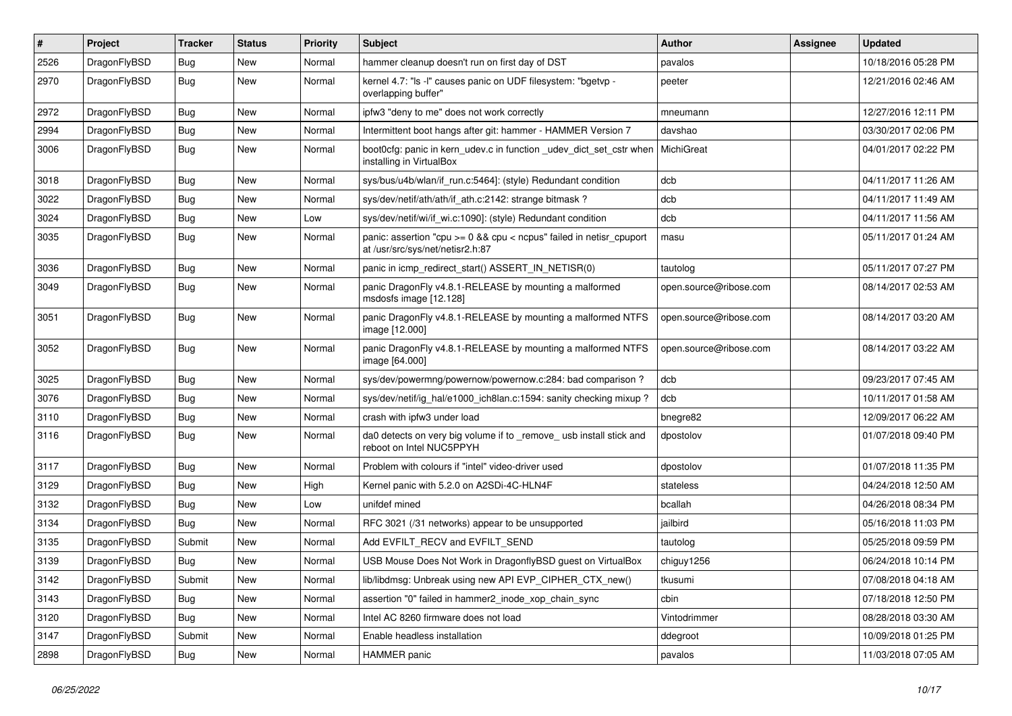| #    | Project      | <b>Tracker</b> | <b>Status</b> | <b>Priority</b> | <b>Subject</b>                                                                                          | Author                 | Assignee | <b>Updated</b>      |
|------|--------------|----------------|---------------|-----------------|---------------------------------------------------------------------------------------------------------|------------------------|----------|---------------------|
| 2526 | DragonFlyBSD | Bug            | <b>New</b>    | Normal          | hammer cleanup doesn't run on first day of DST                                                          | pavalos                |          | 10/18/2016 05:28 PM |
| 2970 | DragonFlyBSD | <b>Bug</b>     | <b>New</b>    | Normal          | kernel 4.7: "Is -I" causes panic on UDF filesystem: "bgetvp -<br>overlapping buffer"                    | peeter                 |          | 12/21/2016 02:46 AM |
| 2972 | DragonFlyBSD | Bug            | <b>New</b>    | Normal          | ipfw3 "deny to me" does not work correctly                                                              | mneumann               |          | 12/27/2016 12:11 PM |
| 2994 | DragonFlyBSD | <b>Bug</b>     | <b>New</b>    | Normal          | Intermittent boot hangs after git: hammer - HAMMER Version 7                                            | davshao                |          | 03/30/2017 02:06 PM |
| 3006 | DragonFlyBSD | Bug            | New           | Normal          | boot0cfg: panic in kern udev.c in function udev dict set cstr when<br>installing in VirtualBox          | MichiGreat             |          | 04/01/2017 02:22 PM |
| 3018 | DragonFlyBSD | Bug            | <b>New</b>    | Normal          | sys/bus/u4b/wlan/if_run.c:5464]: (style) Redundant condition                                            | dcb                    |          | 04/11/2017 11:26 AM |
| 3022 | DragonFlyBSD | Bug            | <b>New</b>    | Normal          | sys/dev/netif/ath/ath/if ath.c:2142: strange bitmask?                                                   | dcb                    |          | 04/11/2017 11:49 AM |
| 3024 | DragonFlyBSD | Bug            | <b>New</b>    | Low             | sys/dev/netif/wi/if_wi.c:1090]: (style) Redundant condition                                             | dcb                    |          | 04/11/2017 11:56 AM |
| 3035 | DragonFlyBSD | Bug            | <b>New</b>    | Normal          | panic: assertion "cpu >= 0 && cpu < ncpus" failed in netisr_cpuport<br>at /usr/src/sys/net/netisr2.h:87 | masu                   |          | 05/11/2017 01:24 AM |
| 3036 | DragonFlyBSD | Bug            | <b>New</b>    | Normal          | panic in icmp_redirect_start() ASSERT_IN_NETISR(0)                                                      | tautolog               |          | 05/11/2017 07:27 PM |
| 3049 | DragonFlyBSD | Bug            | <b>New</b>    | Normal          | panic DragonFly v4.8.1-RELEASE by mounting a malformed<br>msdosfs image [12.128]                        | open.source@ribose.com |          | 08/14/2017 02:53 AM |
| 3051 | DragonFlyBSD | <b>Bug</b>     | <b>New</b>    | Normal          | panic DragonFly v4.8.1-RELEASE by mounting a malformed NTFS<br>image [12.000]                           | open.source@ribose.com |          | 08/14/2017 03:20 AM |
| 3052 | DragonFlyBSD | Bug            | New           | Normal          | panic DragonFly v4.8.1-RELEASE by mounting a malformed NTFS<br>image [64.000]                           | open.source@ribose.com |          | 08/14/2017 03:22 AM |
| 3025 | DragonFlyBSD | Bug            | <b>New</b>    | Normal          | sys/dev/powermng/powernow/powernow.c:284: bad comparison?                                               | dcb                    |          | 09/23/2017 07:45 AM |
| 3076 | DragonFlyBSD | Bug            | <b>New</b>    | Normal          | sys/dev/netif/ig_hal/e1000_ich8lan.c:1594: sanity checking mixup?                                       | dcb                    |          | 10/11/2017 01:58 AM |
| 3110 | DragonFlyBSD | <b>Bug</b>     | <b>New</b>    | Normal          | crash with ipfw3 under load                                                                             | bnegre82               |          | 12/09/2017 06:22 AM |
| 3116 | DragonFlyBSD | Bug            | New           | Normal          | da0 detects on very big volume if to _remove_ usb install stick and<br>reboot on Intel NUC5PPYH         | dpostolov              |          | 01/07/2018 09:40 PM |
| 3117 | DragonFlyBSD | Bug            | <b>New</b>    | Normal          | Problem with colours if "intel" video-driver used                                                       | dpostolov              |          | 01/07/2018 11:35 PM |
| 3129 | DragonFlyBSD | Bug            | <b>New</b>    | High            | Kernel panic with 5.2.0 on A2SDi-4C-HLN4F                                                               | stateless              |          | 04/24/2018 12:50 AM |
| 3132 | DragonFlyBSD | Bug            | New           | Low             | unifdef mined                                                                                           | bcallah                |          | 04/26/2018 08:34 PM |
| 3134 | DragonFlyBSD | Bug            | New           | Normal          | RFC 3021 (/31 networks) appear to be unsupported                                                        | jailbird               |          | 05/16/2018 11:03 PM |
| 3135 | DragonFlyBSD | Submit         | <b>New</b>    | Normal          | Add EVFILT_RECV and EVFILT_SEND                                                                         | tautolog               |          | 05/25/2018 09:59 PM |
| 3139 | DragonFlyBSD | Bug            | <b>New</b>    | Normal          | USB Mouse Does Not Work in DragonflyBSD guest on VirtualBox                                             | chiguy1256             |          | 06/24/2018 10:14 PM |
| 3142 | DragonFlyBSD | Submit         | <b>New</b>    | Normal          | lib/libdmsg: Unbreak using new API EVP_CIPHER_CTX_new()                                                 | tkusumi                |          | 07/08/2018 04:18 AM |
| 3143 | DragonFlyBSD | Bug            | New           | Normal          | assertion "0" failed in hammer2_inode_xop_chain_sync                                                    | cbin                   |          | 07/18/2018 12:50 PM |
| 3120 | DragonFlyBSD | <b>Bug</b>     | New           | Normal          | Intel AC 8260 firmware does not load                                                                    | Vintodrimmer           |          | 08/28/2018 03:30 AM |
| 3147 | DragonFlyBSD | Submit         | New           | Normal          | Enable headless installation                                                                            | ddegroot               |          | 10/09/2018 01:25 PM |
| 2898 | DragonFlyBSD | Bug            | New           | Normal          | HAMMER panic                                                                                            | pavalos                |          | 11/03/2018 07:05 AM |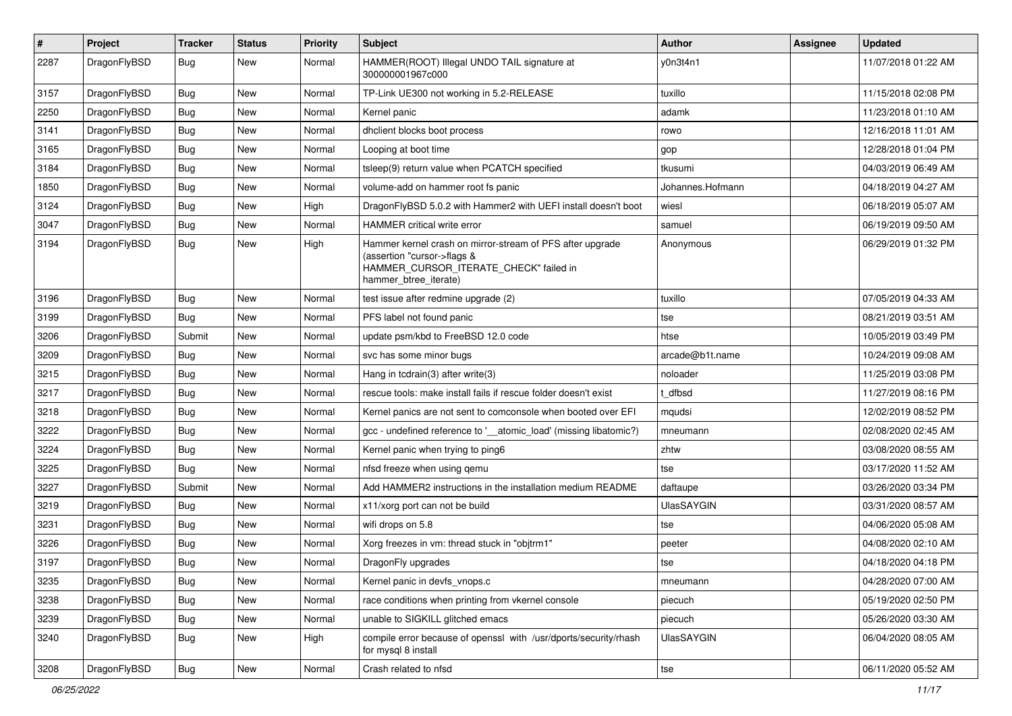| #    | Project      | <b>Tracker</b> | <b>Status</b> | <b>Priority</b> | Subject                                                                                                                                                     | Author            | Assignee | <b>Updated</b>      |
|------|--------------|----------------|---------------|-----------------|-------------------------------------------------------------------------------------------------------------------------------------------------------------|-------------------|----------|---------------------|
| 2287 | DragonFlyBSD | Bug            | <b>New</b>    | Normal          | HAMMER(ROOT) Illegal UNDO TAIL signature at<br>300000001967c000                                                                                             | y0n3t4n1          |          | 11/07/2018 01:22 AM |
| 3157 | DragonFlyBSD | Bug            | <b>New</b>    | Normal          | TP-Link UE300 not working in 5.2-RELEASE                                                                                                                    | tuxillo           |          | 11/15/2018 02:08 PM |
| 2250 | DragonFlyBSD | Bug            | <b>New</b>    | Normal          | Kernel panic                                                                                                                                                | adamk             |          | 11/23/2018 01:10 AM |
| 3141 | DragonFlyBSD | Bug            | <b>New</b>    | Normal          | dhclient blocks boot process                                                                                                                                | rowo              |          | 12/16/2018 11:01 AM |
| 3165 | DragonFlyBSD | Bug            | <b>New</b>    | Normal          | Looping at boot time                                                                                                                                        | gop               |          | 12/28/2018 01:04 PM |
| 3184 | DragonFlyBSD | Bug            | <b>New</b>    | Normal          | tsleep(9) return value when PCATCH specified                                                                                                                | tkusumi           |          | 04/03/2019 06:49 AM |
| 1850 | DragonFlyBSD | Bug            | <b>New</b>    | Normal          | volume-add on hammer root fs panic                                                                                                                          | Johannes.Hofmann  |          | 04/18/2019 04:27 AM |
| 3124 | DragonFlyBSD | Bug            | <b>New</b>    | High            | DragonFlyBSD 5.0.2 with Hammer2 with UEFI install doesn't boot                                                                                              | wiesl             |          | 06/18/2019 05:07 AM |
| 3047 | DragonFlyBSD | Bug            | New           | Normal          | <b>HAMMER</b> critical write error                                                                                                                          | samuel            |          | 06/19/2019 09:50 AM |
| 3194 | DragonFlyBSD | Bug            | New           | High            | Hammer kernel crash on mirror-stream of PFS after upgrade<br>(assertion "cursor->flags &<br>HAMMER_CURSOR_ITERATE_CHECK" failed in<br>hammer btree iterate) | Anonymous         |          | 06/29/2019 01:32 PM |
| 3196 | DragonFlyBSD | Bug            | <b>New</b>    | Normal          | test issue after redmine upgrade (2)                                                                                                                        | tuxillo           |          | 07/05/2019 04:33 AM |
| 3199 | DragonFlyBSD | Bug            | <b>New</b>    | Normal          | PFS label not found panic                                                                                                                                   | tse               |          | 08/21/2019 03:51 AM |
| 3206 | DragonFlyBSD | Submit         | <b>New</b>    | Normal          | update psm/kbd to FreeBSD 12.0 code                                                                                                                         | htse              |          | 10/05/2019 03:49 PM |
| 3209 | DragonFlyBSD | Bug            | <b>New</b>    | Normal          | svc has some minor bugs                                                                                                                                     | arcade@b1t.name   |          | 10/24/2019 09:08 AM |
| 3215 | DragonFlyBSD | Bug            | <b>New</b>    | Normal          | Hang in tcdrain(3) after write(3)                                                                                                                           | noloader          |          | 11/25/2019 03:08 PM |
| 3217 | DragonFlyBSD | Bug            | <b>New</b>    | Normal          | rescue tools: make install fails if rescue folder doesn't exist                                                                                             | t dfbsd           |          | 11/27/2019 08:16 PM |
| 3218 | DragonFlyBSD | Bug            | <b>New</b>    | Normal          | Kernel panics are not sent to comconsole when booted over EFI                                                                                               | mqudsi            |          | 12/02/2019 08:52 PM |
| 3222 | DragonFlyBSD | Bug            | <b>New</b>    | Normal          | gcc - undefined reference to '__atomic_load' (missing libatomic?)                                                                                           | mneumann          |          | 02/08/2020 02:45 AM |
| 3224 | DragonFlyBSD | Bug            | <b>New</b>    | Normal          | Kernel panic when trying to ping6                                                                                                                           | zhtw              |          | 03/08/2020 08:55 AM |
| 3225 | DragonFlyBSD | Bug            | <b>New</b>    | Normal          | nfsd freeze when using qemu                                                                                                                                 | tse               |          | 03/17/2020 11:52 AM |
| 3227 | DragonFlyBSD | Submit         | New           | Normal          | Add HAMMER2 instructions in the installation medium README                                                                                                  | daftaupe          |          | 03/26/2020 03:34 PM |
| 3219 | DragonFlyBSD | Bug            | <b>New</b>    | Normal          | x11/xorg port can not be build                                                                                                                              | <b>UlasSAYGIN</b> |          | 03/31/2020 08:57 AM |
| 3231 | DragonFlyBSD | Bug            | <b>New</b>    | Normal          | wifi drops on 5.8                                                                                                                                           | tse               |          | 04/06/2020 05:08 AM |
| 3226 | DragonFlyBSD | Bug            | <b>New</b>    | Normal          | Xorg freezes in vm: thread stuck in "objtrm1"                                                                                                               | peeter            |          | 04/08/2020 02:10 AM |
| 3197 | DragonFlyBSD | Bug            | New           | Normal          | DragonFly upgrades                                                                                                                                          | tse               |          | 04/18/2020 04:18 PM |
| 3235 | DragonFlyBSD | Bug            | New           | Normal          | Kernel panic in devfs_vnops.c                                                                                                                               | mneumann          |          | 04/28/2020 07:00 AM |
| 3238 | DragonFlyBSD | <b>Bug</b>     | New           | Normal          | race conditions when printing from vkernel console                                                                                                          | piecuch           |          | 05/19/2020 02:50 PM |
| 3239 | DragonFlyBSD | <b>Bug</b>     | New           | Normal          | unable to SIGKILL glitched emacs                                                                                                                            | piecuch           |          | 05/26/2020 03:30 AM |
| 3240 | DragonFlyBSD | Bug            | New           | High            | compile error because of openssl with /usr/dports/security/rhash<br>for mysql 8 install                                                                     | <b>UlasSAYGIN</b> |          | 06/04/2020 08:05 AM |
| 3208 | DragonFlyBSD | <b>Bug</b>     | New           | Normal          | Crash related to nfsd                                                                                                                                       | tse               |          | 06/11/2020 05:52 AM |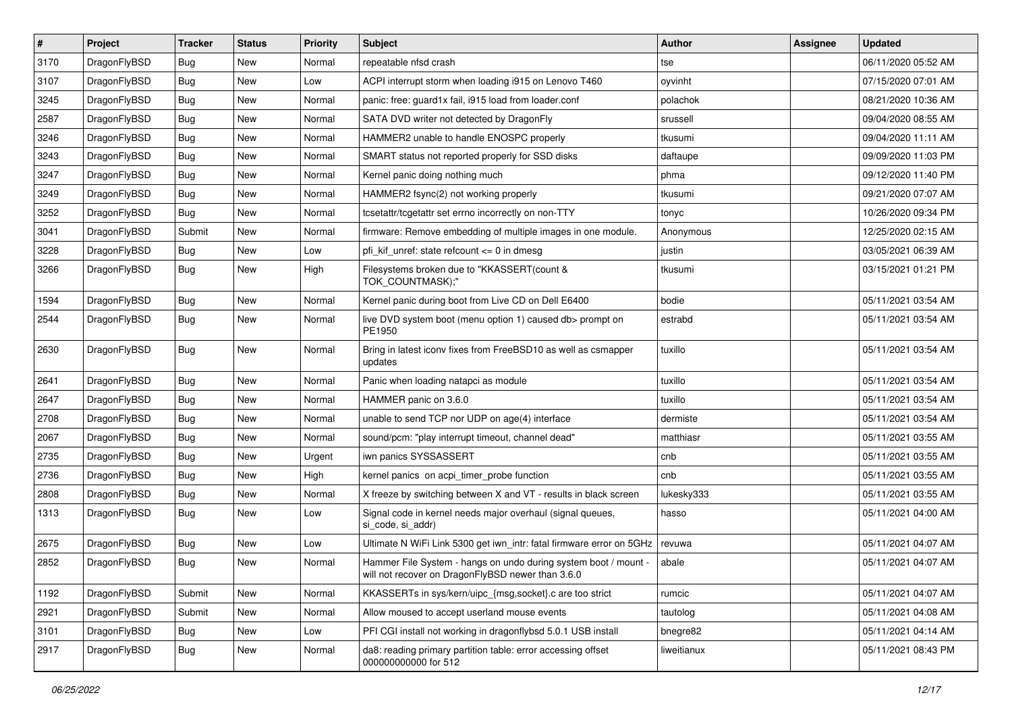| $\sharp$ | Project      | <b>Tracker</b> | <b>Status</b> | <b>Priority</b> | Subject                                                                                                              | <b>Author</b> | Assignee | <b>Updated</b>      |
|----------|--------------|----------------|---------------|-----------------|----------------------------------------------------------------------------------------------------------------------|---------------|----------|---------------------|
| 3170     | DragonFlyBSD | Bug            | <b>New</b>    | Normal          | repeatable nfsd crash                                                                                                | tse           |          | 06/11/2020 05:52 AM |
| 3107     | DragonFlyBSD | Bug            | <b>New</b>    | Low             | ACPI interrupt storm when loading i915 on Lenovo T460                                                                | oyvinht       |          | 07/15/2020 07:01 AM |
| 3245     | DragonFlyBSD | Bug            | New           | Normal          | panic: free: guard1x fail, i915 load from loader.conf                                                                | polachok      |          | 08/21/2020 10:36 AM |
| 2587     | DragonFlyBSD | Bug            | New           | Normal          | SATA DVD writer not detected by DragonFly                                                                            | srussell      |          | 09/04/2020 08:55 AM |
| 3246     | DragonFlyBSD | Bug            | <b>New</b>    | Normal          | HAMMER2 unable to handle ENOSPC properly                                                                             | tkusumi       |          | 09/04/2020 11:11 AM |
| 3243     | DragonFlyBSD | Bug            | <b>New</b>    | Normal          | SMART status not reported properly for SSD disks                                                                     | daftaupe      |          | 09/09/2020 11:03 PM |
| 3247     | DragonFlyBSD | Bug            | <b>New</b>    | Normal          | Kernel panic doing nothing much                                                                                      | phma          |          | 09/12/2020 11:40 PM |
| 3249     | DragonFlyBSD | Bug            | <b>New</b>    | Normal          | HAMMER2 fsync(2) not working properly                                                                                | tkusumi       |          | 09/21/2020 07:07 AM |
| 3252     | DragonFlyBSD | Bug            | New           | Normal          | tcsetattr/tcgetattr set errno incorrectly on non-TTY                                                                 | tonyc         |          | 10/26/2020 09:34 PM |
| 3041     | DragonFlyBSD | Submit         | <b>New</b>    | Normal          | firmware: Remove embedding of multiple images in one module.                                                         | Anonymous     |          | 12/25/2020 02:15 AM |
| 3228     | DragonFlyBSD | Bug            | New           | Low             | pfi_kif_unref: state refcount <= 0 in dmesg                                                                          | justin        |          | 03/05/2021 06:39 AM |
| 3266     | DragonFlyBSD | Bug            | New           | High            | Filesystems broken due to "KKASSERT(count &<br>TOK_COUNTMASK);"                                                      | tkusumi       |          | 03/15/2021 01:21 PM |
| 1594     | DragonFlyBSD | <b>Bug</b>     | <b>New</b>    | Normal          | Kernel panic during boot from Live CD on Dell E6400                                                                  | bodie         |          | 05/11/2021 03:54 AM |
| 2544     | DragonFlyBSD | Bug            | New           | Normal          | live DVD system boot (menu option 1) caused db> prompt on<br>PE1950                                                  | estrabd       |          | 05/11/2021 03:54 AM |
| 2630     | DragonFlyBSD | <b>Bug</b>     | <b>New</b>    | Normal          | Bring in latest iconv fixes from FreeBSD10 as well as csmapper<br>updates                                            | tuxillo       |          | 05/11/2021 03:54 AM |
| 2641     | DragonFlyBSD | Bug            | New           | Normal          | Panic when loading natapci as module                                                                                 | tuxillo       |          | 05/11/2021 03:54 AM |
| 2647     | DragonFlyBSD | Bug            | New           | Normal          | HAMMER panic on 3.6.0                                                                                                | tuxillo       |          | 05/11/2021 03:54 AM |
| 2708     | DragonFlyBSD | Bug            | <b>New</b>    | Normal          | unable to send TCP nor UDP on age(4) interface                                                                       | dermiste      |          | 05/11/2021 03:54 AM |
| 2067     | DragonFlyBSD | Bug            | <b>New</b>    | Normal          | sound/pcm: "play interrupt timeout, channel dead"                                                                    | matthiasr     |          | 05/11/2021 03:55 AM |
| 2735     | DragonFlyBSD | Bug            | <b>New</b>    | Urgent          | iwn panics SYSSASSERT                                                                                                | cnb           |          | 05/11/2021 03:55 AM |
| 2736     | DragonFlyBSD | Bug            | <b>New</b>    | High            | kernel panics on acpi timer probe function                                                                           | cnb           |          | 05/11/2021 03:55 AM |
| 2808     | DragonFlyBSD | Bug            | New           | Normal          | X freeze by switching between X and VT - results in black screen                                                     | lukesky333    |          | 05/11/2021 03:55 AM |
| 1313     | DragonFlyBSD | Bug            | <b>New</b>    | Low             | Signal code in kernel needs major overhaul (signal queues,<br>si code, si addr)                                      | hasso         |          | 05/11/2021 04:00 AM |
| 2675     | DragonFlyBSD | Bug            | New           | Low             | Ultimate N WiFi Link 5300 get iwn_intr: fatal firmware error on 5GHz                                                 | revuwa        |          | 05/11/2021 04:07 AM |
| 2852     | DragonFlyBSD | Bug            | New           | Normal          | Hammer File System - hangs on undo during system boot / mount -<br>will not recover on DragonFlyBSD newer than 3.6.0 | abale         |          | 05/11/2021 04:07 AM |
| 1192     | DragonFlyBSD | Submit         | <b>New</b>    | Normal          | KKASSERTs in sys/kern/uipc_{msg,socket}.c are too strict                                                             | rumcic        |          | 05/11/2021 04:07 AM |
| 2921     | DragonFlyBSD | Submit         | New           | Normal          | Allow moused to accept userland mouse events                                                                         | tautolog      |          | 05/11/2021 04:08 AM |
| 3101     | DragonFlyBSD | <b>Bug</b>     | New           | Low             | PFI CGI install not working in dragonflybsd 5.0.1 USB install                                                        | bnegre82      |          | 05/11/2021 04:14 AM |
| 2917     | DragonFlyBSD | Bug            | New           | Normal          | da8: reading primary partition table: error accessing offset<br>000000000000 for 512                                 | liweitianux   |          | 05/11/2021 08:43 PM |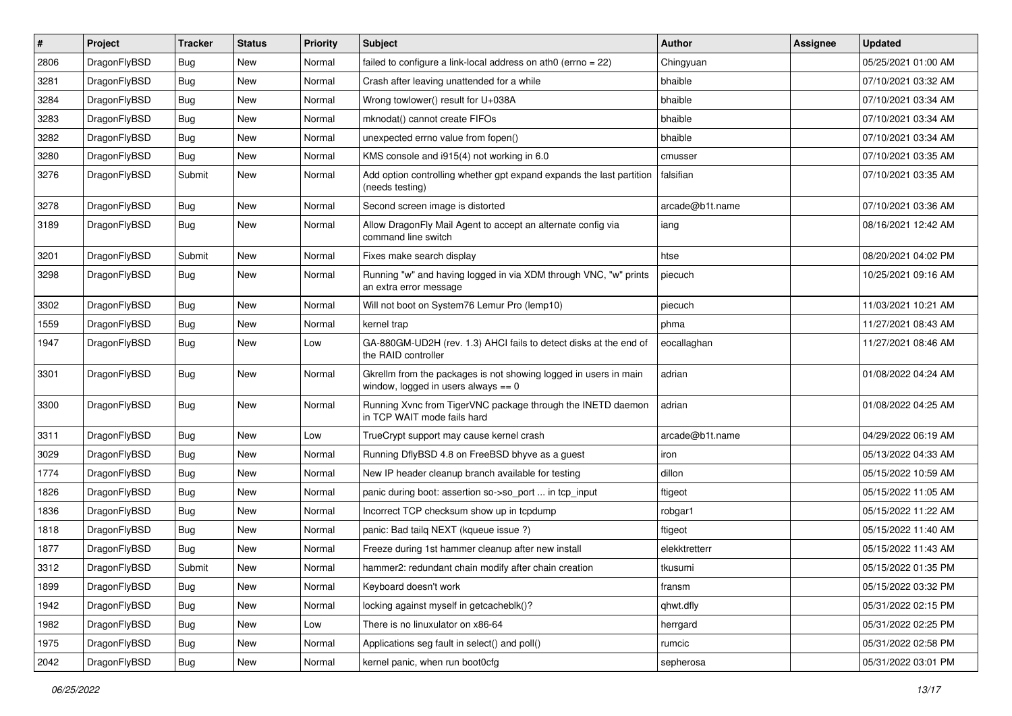| $\sharp$ | Project      | <b>Tracker</b> | <b>Status</b> | <b>Priority</b> | Subject                                                                                                   | <b>Author</b>   | Assignee | <b>Updated</b>      |
|----------|--------------|----------------|---------------|-----------------|-----------------------------------------------------------------------------------------------------------|-----------------|----------|---------------------|
| 2806     | DragonFlyBSD | Bug            | New           | Normal          | failed to configure a link-local address on ath0 (errno = 22)                                             | Chingyuan       |          | 05/25/2021 01:00 AM |
| 3281     | DragonFlyBSD | Bug            | <b>New</b>    | Normal          | Crash after leaving unattended for a while                                                                | bhaible         |          | 07/10/2021 03:32 AM |
| 3284     | DragonFlyBSD | Bug            | New           | Normal          | Wrong towlower() result for U+038A                                                                        | bhaible         |          | 07/10/2021 03:34 AM |
| 3283     | DragonFlyBSD | Bug            | New           | Normal          | mknodat() cannot create FIFOs                                                                             | bhaible         |          | 07/10/2021 03:34 AM |
| 3282     | DragonFlyBSD | Bug            | <b>New</b>    | Normal          | unexpected errno value from fopen()                                                                       | bhaible         |          | 07/10/2021 03:34 AM |
| 3280     | DragonFlyBSD | Bug            | New           | Normal          | KMS console and i915(4) not working in 6.0                                                                | cmusser         |          | 07/10/2021 03:35 AM |
| 3276     | DragonFlyBSD | Submit         | New           | Normal          | Add option controlling whether gpt expand expands the last partition<br>(needs testing)                   | falsifian       |          | 07/10/2021 03:35 AM |
| 3278     | DragonFlyBSD | Bug            | <b>New</b>    | Normal          | Second screen image is distorted                                                                          | arcade@b1t.name |          | 07/10/2021 03:36 AM |
| 3189     | DragonFlyBSD | <b>Bug</b>     | New           | Normal          | Allow DragonFly Mail Agent to accept an alternate config via<br>command line switch                       | iang            |          | 08/16/2021 12:42 AM |
| 3201     | DragonFlyBSD | Submit         | <b>New</b>    | Normal          | Fixes make search display                                                                                 | htse            |          | 08/20/2021 04:02 PM |
| 3298     | DragonFlyBSD | Bug            | <b>New</b>    | Normal          | Running "w" and having logged in via XDM through VNC, "w" prints<br>an extra error message                | piecuch         |          | 10/25/2021 09:16 AM |
| 3302     | DragonFlyBSD | Bug            | New           | Normal          | Will not boot on System76 Lemur Pro (lemp10)                                                              | piecuch         |          | 11/03/2021 10:21 AM |
| 1559     | DragonFlyBSD | <b>Bug</b>     | <b>New</b>    | Normal          | kernel trap                                                                                               | phma            |          | 11/27/2021 08:43 AM |
| 1947     | DragonFlyBSD | <b>Bug</b>     | <b>New</b>    | Low             | GA-880GM-UD2H (rev. 1.3) AHCI fails to detect disks at the end of<br>the RAID controller                  | eocallaghan     |          | 11/27/2021 08:46 AM |
| 3301     | DragonFlyBSD | Bug            | <b>New</b>    | Normal          | Gkrellm from the packages is not showing logged in users in main<br>window, logged in users always $== 0$ | adrian          |          | 01/08/2022 04:24 AM |
| 3300     | DragonFlyBSD | <b>Bug</b>     | New           | Normal          | Running Xvnc from TigerVNC package through the INETD daemon<br>in TCP WAIT mode fails hard                | adrian          |          | 01/08/2022 04:25 AM |
| 3311     | DragonFlyBSD | Bug            | <b>New</b>    | Low             | TrueCrypt support may cause kernel crash                                                                  | arcade@b1t.name |          | 04/29/2022 06:19 AM |
| 3029     | DragonFlyBSD | Bug            | <b>New</b>    | Normal          | Running DflyBSD 4.8 on FreeBSD bhyve as a guest                                                           | iron            |          | 05/13/2022 04:33 AM |
| 1774     | DragonFlyBSD | <b>Bug</b>     | <b>New</b>    | Normal          | New IP header cleanup branch available for testing                                                        | dillon          |          | 05/15/2022 10:59 AM |
| 1826     | DragonFlyBSD | <b>Bug</b>     | <b>New</b>    | Normal          | panic during boot: assertion so->so_port  in tcp_input                                                    | ftigeot         |          | 05/15/2022 11:05 AM |
| 1836     | DragonFlyBSD | Bug            | New           | Normal          | Incorrect TCP checksum show up in tcpdump                                                                 | robgar1         |          | 05/15/2022 11:22 AM |
| 1818     | DragonFlyBSD | <b>Bug</b>     | <b>New</b>    | Normal          | panic: Bad tailg NEXT (kqueue issue ?)                                                                    | ftigeot         |          | 05/15/2022 11:40 AM |
| 1877     | DragonFlyBSD | Bug            | <b>New</b>    | Normal          | Freeze during 1st hammer cleanup after new install                                                        | elekktretterr   |          | 05/15/2022 11:43 AM |
| 3312     | DragonFlyBSD | Submit         | New           | Normal          | hammer2: redundant chain modify after chain creation                                                      | tkusumi         |          | 05/15/2022 01:35 PM |
| 1899     | DragonFlyBSD | Bug            | New           | Normal          | Keyboard doesn't work                                                                                     | fransm          |          | 05/15/2022 03:32 PM |
| 1942     | DragonFlyBSD | <b>Bug</b>     | New           | Normal          | locking against myself in getcacheblk()?                                                                  | qhwt.dfly       |          | 05/31/2022 02:15 PM |
| 1982     | DragonFlyBSD | <b>Bug</b>     | New           | Low             | There is no linuxulator on x86-64                                                                         | herrgard        |          | 05/31/2022 02:25 PM |
| 1975     | DragonFlyBSD | <b>Bug</b>     | New           | Normal          | Applications seg fault in select() and poll()                                                             | rumcic          |          | 05/31/2022 02:58 PM |
| 2042     | DragonFlyBSD | <b>Bug</b>     | New           | Normal          | kernel panic, when run boot0cfg                                                                           | sepherosa       |          | 05/31/2022 03:01 PM |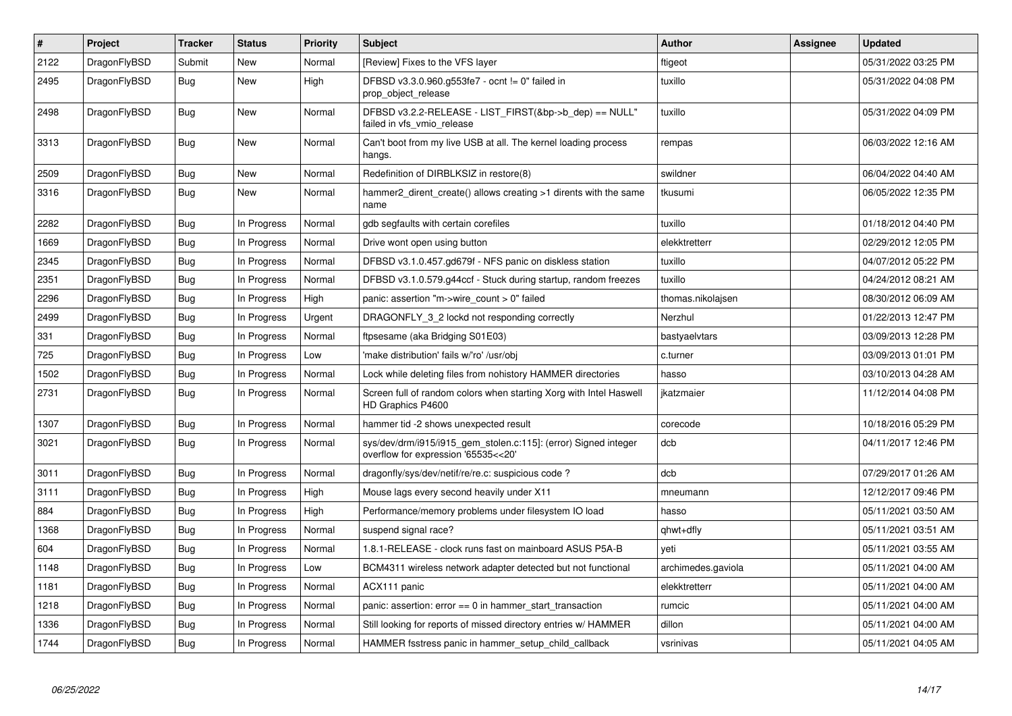| $\vert$ # | Project      | <b>Tracker</b> | <b>Status</b> | <b>Priority</b> | <b>Subject</b>                                                                                         | <b>Author</b>      | <b>Assignee</b> | <b>Updated</b>      |
|-----------|--------------|----------------|---------------|-----------------|--------------------------------------------------------------------------------------------------------|--------------------|-----------------|---------------------|
| 2122      | DragonFlyBSD | Submit         | <b>New</b>    | Normal          | [Review] Fixes to the VFS layer                                                                        | ftigeot            |                 | 05/31/2022 03:25 PM |
| 2495      | DragonFlyBSD | Bug            | New           | High            | DFBSD v3.3.0.960.g553fe7 - ocnt != 0" failed in<br>prop_object_release                                 | tuxillo            |                 | 05/31/2022 04:08 PM |
| 2498      | DragonFlyBSD | <b>Bug</b>     | New           | Normal          | DFBSD v3.2.2-RELEASE - LIST_FIRST(&bp->b_dep) == NULL"<br>failed in vfs_vmio_release                   | tuxillo            |                 | 05/31/2022 04:09 PM |
| 3313      | DragonFlyBSD | Bug            | New           | Normal          | Can't boot from my live USB at all. The kernel loading process<br>hangs.                               | rempas             |                 | 06/03/2022 12:16 AM |
| 2509      | DragonFlyBSD | <b>Bug</b>     | <b>New</b>    | Normal          | Redefinition of DIRBLKSIZ in restore(8)                                                                | swildner           |                 | 06/04/2022 04:40 AM |
| 3316      | DragonFlyBSD | Bug            | New           | Normal          | hammer2 dirent create() allows creating >1 dirents with the same<br>name                               | tkusumi            |                 | 06/05/2022 12:35 PM |
| 2282      | DragonFlyBSD | Bug            | In Progress   | Normal          | gdb segfaults with certain corefiles                                                                   | tuxillo            |                 | 01/18/2012 04:40 PM |
| 1669      | DragonFlyBSD | Bug            | In Progress   | Normal          | Drive wont open using button                                                                           | elekktretterr      |                 | 02/29/2012 12:05 PM |
| 2345      | DragonFlyBSD | Bug            | In Progress   | Normal          | DFBSD v3.1.0.457.gd679f - NFS panic on diskless station                                                | tuxillo            |                 | 04/07/2012 05:22 PM |
| 2351      | DragonFlyBSD | Bug            | In Progress   | Normal          | DFBSD v3.1.0.579.g44ccf - Stuck during startup, random freezes                                         | tuxillo            |                 | 04/24/2012 08:21 AM |
| 2296      | DragonFlyBSD | Bug            | In Progress   | High            | panic: assertion "m->wire count > $0$ " failed                                                         | thomas.nikolajsen  |                 | 08/30/2012 06:09 AM |
| 2499      | DragonFlyBSD | Bug            | In Progress   | Urgent          | DRAGONFLY 3 2 lockd not responding correctly                                                           | Nerzhul            |                 | 01/22/2013 12:47 PM |
| 331       | DragonFlyBSD | Bug            | In Progress   | Normal          | ftpsesame (aka Bridging S01E03)                                                                        | bastyaelvtars      |                 | 03/09/2013 12:28 PM |
| 725       | DragonFlyBSD | <b>Bug</b>     | In Progress   | Low             | 'make distribution' fails w/'ro' /usr/obj                                                              | c.turner           |                 | 03/09/2013 01:01 PM |
| 1502      | DragonFlyBSD | Bug            | In Progress   | Normal          | Lock while deleting files from nohistory HAMMER directories                                            | hasso              |                 | 03/10/2013 04:28 AM |
| 2731      | DragonFlyBSD | Bug            | In Progress   | Normal          | Screen full of random colors when starting Xorg with Intel Haswell<br>HD Graphics P4600                | ikatzmaier         |                 | 11/12/2014 04:08 PM |
| 1307      | DragonFlyBSD | Bug            | In Progress   | Normal          | hammer tid -2 shows unexpected result                                                                  | corecode           |                 | 10/18/2016 05:29 PM |
| 3021      | DragonFlyBSD | Bug            | In Progress   | Normal          | sys/dev/drm/i915/i915 gem stolen.c:115]: (error) Signed integer<br>overflow for expression '65535<<20' | dcb                |                 | 04/11/2017 12:46 PM |
| 3011      | DragonFlyBSD | Bug            | In Progress   | Normal          | dragonfly/sys/dev/netif/re/re.c: suspicious code?                                                      | dcb                |                 | 07/29/2017 01:26 AM |
| 3111      | DragonFlyBSD | Bug            | In Progress   | High            | Mouse lags every second heavily under X11                                                              | mneumann           |                 | 12/12/2017 09:46 PM |
| 884       | DragonFlyBSD | Bug            | In Progress   | High            | Performance/memory problems under filesystem IO load                                                   | hasso              |                 | 05/11/2021 03:50 AM |
| 1368      | DragonFlyBSD | Bug            | In Progress   | Normal          | suspend signal race?                                                                                   | qhwt+dfly          |                 | 05/11/2021 03:51 AM |
| 604       | DragonFlyBSD | Bug            | In Progress   | Normal          | 1.8.1-RELEASE - clock runs fast on mainboard ASUS P5A-B                                                | yeti               |                 | 05/11/2021 03:55 AM |
| 1148      | DragonFlyBSD | Bug            | In Progress   | Low             | BCM4311 wireless network adapter detected but not functional                                           | archimedes.gaviola |                 | 05/11/2021 04:00 AM |
| 1181      | DragonFlyBSD | Bug            | In Progress   | Normal          | ACX111 panic                                                                                           | elekktretterr      |                 | 05/11/2021 04:00 AM |
| 1218      | DragonFlyBSD | Bug            | In Progress   | Normal          | panic: assertion: error == 0 in hammer_start_transaction                                               | rumcic             |                 | 05/11/2021 04:00 AM |
| 1336      | DragonFlyBSD | Bug            | In Progress   | Normal          | Still looking for reports of missed directory entries w/ HAMMER                                        | dillon             |                 | 05/11/2021 04:00 AM |
| 1744      | DragonFlyBSD | Bug            | In Progress   | Normal          | HAMMER fsstress panic in hammer_setup_child_callback                                                   | vsrinivas          |                 | 05/11/2021 04:05 AM |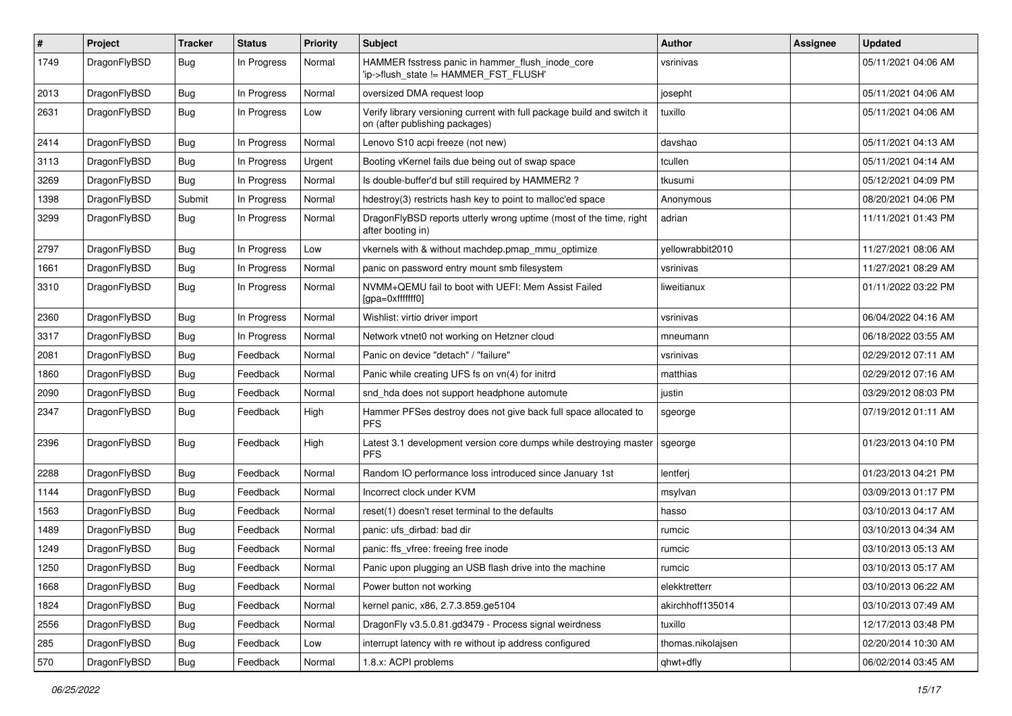| $\sharp$ | Project      | <b>Tracker</b> | <b>Status</b> | <b>Priority</b> | Subject                                                                                                   | Author            | <b>Assignee</b> | <b>Updated</b>      |
|----------|--------------|----------------|---------------|-----------------|-----------------------------------------------------------------------------------------------------------|-------------------|-----------------|---------------------|
| 1749     | DragonFlyBSD | Bug            | In Progress   | Normal          | HAMMER fsstress panic in hammer_flush_inode_core<br>'ip->flush state != HAMMER FST FLUSH'                 | vsrinivas         |                 | 05/11/2021 04:06 AM |
| 2013     | DragonFlyBSD | Bug            | In Progress   | Normal          | oversized DMA request loop                                                                                | josepht           |                 | 05/11/2021 04:06 AM |
| 2631     | DragonFlyBSD | Bug            | In Progress   | Low             | Verify library versioning current with full package build and switch it<br>on (after publishing packages) | tuxillo           |                 | 05/11/2021 04:06 AM |
| 2414     | DragonFlyBSD | Bug            | In Progress   | Normal          | Lenovo S10 acpi freeze (not new)                                                                          | davshao           |                 | 05/11/2021 04:13 AM |
| 3113     | DragonFlyBSD | Bug            | In Progress   | Urgent          | Booting vKernel fails due being out of swap space                                                         | tcullen           |                 | 05/11/2021 04:14 AM |
| 3269     | DragonFlyBSD | Bug            | In Progress   | Normal          | Is double-buffer'd buf still required by HAMMER2 ?                                                        | tkusumi           |                 | 05/12/2021 04:09 PM |
| 1398     | DragonFlyBSD | Submit         | In Progress   | Normal          | hdestroy(3) restricts hash key to point to malloc'ed space                                                | Anonymous         |                 | 08/20/2021 04:06 PM |
| 3299     | DragonFlyBSD | Bug            | In Progress   | Normal          | DragonFlyBSD reports utterly wrong uptime (most of the time, right<br>after booting in)                   | adrian            |                 | 11/11/2021 01:43 PM |
| 2797     | DragonFlyBSD | Bug            | In Progress   | Low             | vkernels with & without machdep.pmap_mmu_optimize                                                         | yellowrabbit2010  |                 | 11/27/2021 08:06 AM |
| 1661     | DragonFlyBSD | Bug            | In Progress   | Normal          | panic on password entry mount smb filesystem                                                              | vsrinivas         |                 | 11/27/2021 08:29 AM |
| 3310     | DragonFlyBSD | Bug            | In Progress   | Normal          | NVMM+QEMU fail to boot with UEFI: Mem Assist Failed<br>[gpa=0xfffffff0]                                   | liweitianux       |                 | 01/11/2022 03:22 PM |
| 2360     | DragonFlyBSD | Bug            | In Progress   | Normal          | Wishlist: virtio driver import                                                                            | vsrinivas         |                 | 06/04/2022 04:16 AM |
| 3317     | DragonFlyBSD | <b>Bug</b>     | In Progress   | Normal          | Network vtnet0 not working on Hetzner cloud                                                               | mneumann          |                 | 06/18/2022 03:55 AM |
| 2081     | DragonFlyBSD | Bug            | Feedback      | Normal          | Panic on device "detach" / "failure"                                                                      | vsrinivas         |                 | 02/29/2012 07:11 AM |
| 1860     | DragonFlyBSD | Bug            | Feedback      | Normal          | Panic while creating UFS fs on vn(4) for initrd                                                           | matthias          |                 | 02/29/2012 07:16 AM |
| 2090     | DragonFlyBSD | <b>Bug</b>     | Feedback      | Normal          | snd_hda does not support headphone automute                                                               | justin            |                 | 03/29/2012 08:03 PM |
| 2347     | DragonFlyBSD | Bug            | Feedback      | High            | Hammer PFSes destroy does not give back full space allocated to<br><b>PFS</b>                             | sgeorge           |                 | 07/19/2012 01:11 AM |
| 2396     | DragonFlyBSD | Bug            | Feedback      | High            | Latest 3.1 development version core dumps while destroying master<br><b>PFS</b>                           | sgeorge           |                 | 01/23/2013 04:10 PM |
| 2288     | DragonFlyBSD | Bug            | Feedback      | Normal          | Random IO performance loss introduced since January 1st                                                   | lentferj          |                 | 01/23/2013 04:21 PM |
| 1144     | DragonFlyBSD | Bug            | Feedback      | Normal          | Incorrect clock under KVM                                                                                 | msylvan           |                 | 03/09/2013 01:17 PM |
| 1563     | DragonFlyBSD | Bug            | Feedback      | Normal          | reset(1) doesn't reset terminal to the defaults                                                           | hasso             |                 | 03/10/2013 04:17 AM |
| 1489     | DragonFlyBSD | Bug            | Feedback      | Normal          | panic: ufs dirbad: bad dir                                                                                | rumcic            |                 | 03/10/2013 04:34 AM |
| 1249     | DragonFlyBSD | Bug            | Feedback      | Normal          | panic: ffs vfree: freeing free inode                                                                      | rumcic            |                 | 03/10/2013 05:13 AM |
| 1250     | DragonFlyBSD | Bug            | Feedback      | Normal          | Panic upon plugging an USB flash drive into the machine                                                   | rumcic            |                 | 03/10/2013 05:17 AM |
| 1668     | DragonFlyBSD | Bug            | Feedback      | Normal          | Power button not working                                                                                  | elekktretterr     |                 | 03/10/2013 06:22 AM |
| 1824     | DragonFlyBSD | <b>Bug</b>     | Feedback      | Normal          | kernel panic, x86, 2.7.3.859.ge5104                                                                       | akirchhoff135014  |                 | 03/10/2013 07:49 AM |
| 2556     | DragonFlyBSD | Bug            | Feedback      | Normal          | DragonFly v3.5.0.81.gd3479 - Process signal weirdness                                                     | tuxillo           |                 | 12/17/2013 03:48 PM |
| 285      | DragonFlyBSD | <b>Bug</b>     | Feedback      | Low             | interrupt latency with re without ip address configured                                                   | thomas.nikolajsen |                 | 02/20/2014 10:30 AM |
| 570      | DragonFlyBSD | Bug            | Feedback      | Normal          | 1.8.x: ACPI problems                                                                                      | qhwt+dfly         |                 | 06/02/2014 03:45 AM |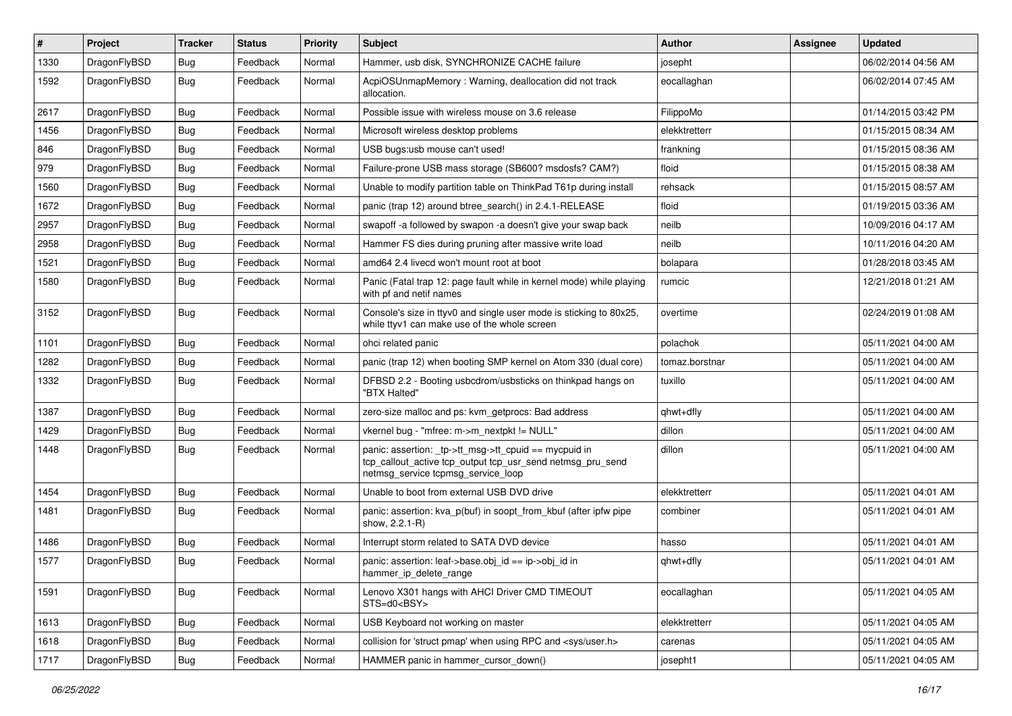| #    | Project      | <b>Tracker</b> | <b>Status</b> | <b>Priority</b> | <b>Subject</b>                                                                                                                                            | Author         | Assignee | <b>Updated</b>      |
|------|--------------|----------------|---------------|-----------------|-----------------------------------------------------------------------------------------------------------------------------------------------------------|----------------|----------|---------------------|
| 1330 | DragonFlyBSD | <b>Bug</b>     | Feedback      | Normal          | Hammer, usb disk, SYNCHRONIZE CACHE failure                                                                                                               | josepht        |          | 06/02/2014 04:56 AM |
| 1592 | DragonFlyBSD | Bug            | Feedback      | Normal          | AcpiOSUnmapMemory: Warning, deallocation did not track<br>allocation.                                                                                     | eocallaghan    |          | 06/02/2014 07:45 AM |
| 2617 | DragonFlyBSD | Bug            | Feedback      | Normal          | Possible issue with wireless mouse on 3.6 release                                                                                                         | FilippoMo      |          | 01/14/2015 03:42 PM |
| 1456 | DragonFlyBSD | <b>Bug</b>     | Feedback      | Normal          | Microsoft wireless desktop problems                                                                                                                       | elekktretterr  |          | 01/15/2015 08:34 AM |
| 846  | DragonFlyBSD | <b>Bug</b>     | Feedback      | Normal          | USB bugs:usb mouse can't used!                                                                                                                            | frankning      |          | 01/15/2015 08:36 AM |
| 979  | DragonFlyBSD | <b>Bug</b>     | Feedback      | Normal          | Failure-prone USB mass storage (SB600? msdosfs? CAM?)                                                                                                     | floid          |          | 01/15/2015 08:38 AM |
| 1560 | DragonFlyBSD | Bug            | Feedback      | Normal          | Unable to modify partition table on ThinkPad T61p during install                                                                                          | rehsack        |          | 01/15/2015 08:57 AM |
| 1672 | DragonFlyBSD | Bug            | Feedback      | Normal          | panic (trap 12) around btree_search() in 2.4.1-RELEASE                                                                                                    | floid          |          | 01/19/2015 03:36 AM |
| 2957 | DragonFlyBSD | <b>Bug</b>     | Feedback      | Normal          | swapoff -a followed by swapon -a doesn't give your swap back                                                                                              | neilb          |          | 10/09/2016 04:17 AM |
| 2958 | DragonFlyBSD | Bug            | Feedback      | Normal          | Hammer FS dies during pruning after massive write load                                                                                                    | neilb          |          | 10/11/2016 04:20 AM |
| 1521 | DragonFlyBSD | Bug            | Feedback      | Normal          | amd64 2.4 livecd won't mount root at boot                                                                                                                 | bolapara       |          | 01/28/2018 03:45 AM |
| 1580 | DragonFlyBSD | Bug            | Feedback      | Normal          | Panic (Fatal trap 12: page fault while in kernel mode) while playing<br>with pf and netif names                                                           | rumcic         |          | 12/21/2018 01:21 AM |
| 3152 | DragonFlyBSD | Bug            | Feedback      | Normal          | Console's size in ttyv0 and single user mode is sticking to 80x25,<br>while ttyv1 can make use of the whole screen                                        | overtime       |          | 02/24/2019 01:08 AM |
| 1101 | DragonFlyBSD | <b>Bug</b>     | Feedback      | Normal          | ohci related panic                                                                                                                                        | polachok       |          | 05/11/2021 04:00 AM |
| 1282 | DragonFlyBSD | <b>Bug</b>     | Feedback      | Normal          | panic (trap 12) when booting SMP kernel on Atom 330 (dual core)                                                                                           | tomaz.borstnar |          | 05/11/2021 04:00 AM |
| 1332 | DragonFlyBSD | <b>Bug</b>     | Feedback      | Normal          | DFBSD 2.2 - Booting usbcdrom/usbsticks on thinkpad hangs on<br>"BTX Halted"                                                                               | tuxillo        |          | 05/11/2021 04:00 AM |
| 1387 | DragonFlyBSD | Bug            | Feedback      | Normal          | zero-size malloc and ps: kvm getprocs: Bad address                                                                                                        | qhwt+dfly      |          | 05/11/2021 04:00 AM |
| 1429 | DragonFlyBSD | <b>Bug</b>     | Feedback      | Normal          | vkernel bug - "mfree: m->m_nextpkt != NULL"                                                                                                               | dillon         |          | 05/11/2021 04:00 AM |
| 1448 | DragonFlyBSD | Bug            | Feedback      | Normal          | panic: assertion: _tp->tt_msg->tt_cpuid == mycpuid in<br>tcp_callout_active tcp_output tcp_usr_send netmsg_pru_send<br>netmsg_service tcpmsg_service_loop | dillon         |          | 05/11/2021 04:00 AM |
| 1454 | DragonFlyBSD | <b>Bug</b>     | Feedback      | Normal          | Unable to boot from external USB DVD drive                                                                                                                | elekktretterr  |          | 05/11/2021 04:01 AM |
| 1481 | DragonFlyBSD | Bug            | Feedback      | Normal          | panic: assertion: kva p(buf) in soopt from kbuf (after ipfw pipe<br>show, 2.2.1-R)                                                                        | combiner       |          | 05/11/2021 04:01 AM |
| 1486 | DragonFlyBSD | <b>Bug</b>     | Feedback      | Normal          | Interrupt storm related to SATA DVD device                                                                                                                | hasso          |          | 05/11/2021 04:01 AM |
| 1577 | DragonFlyBSD | <b>Bug</b>     | Feedback      | Normal          | panic: assertion: leaf->base.obj id == ip->obj id in<br>hammer_ip_delete_range                                                                            | qhwt+dfly      |          | 05/11/2021 04:01 AM |
| 1591 | DragonFlyBSD | <b>Bug</b>     | Feedback      | Normal          | Lenovo X301 hangs with AHCI Driver CMD TIMEOUT<br>STS=d0 <bsy></bsy>                                                                                      | eocallaghan    |          | 05/11/2021 04:05 AM |
| 1613 | DragonFlyBSD | Bug            | Feedback      | Normal          | USB Keyboard not working on master                                                                                                                        | elekktretterr  |          | 05/11/2021 04:05 AM |
| 1618 | DragonFlyBSD | <b>Bug</b>     | Feedback      | Normal          | collision for 'struct pmap' when using RPC and <sys user.h=""></sys>                                                                                      | carenas        |          | 05/11/2021 04:05 AM |
| 1717 | DragonFlyBSD | <b>Bug</b>     | Feedback      | Normal          | HAMMER panic in hammer_cursor_down()                                                                                                                      | josepht1       |          | 05/11/2021 04:05 AM |